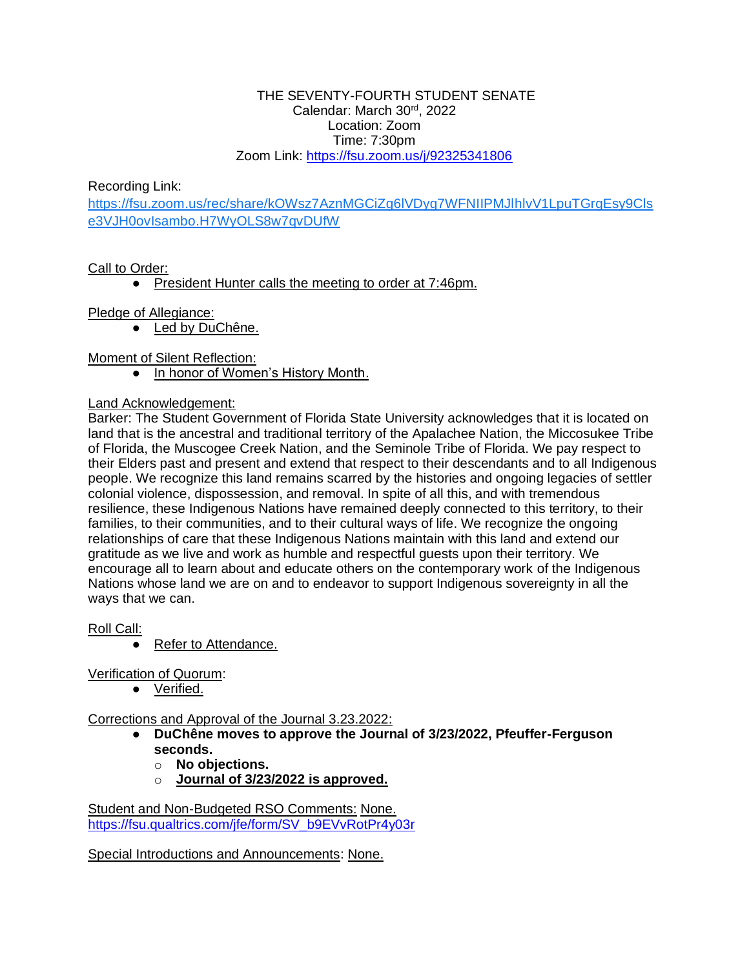#### THE SEVENTY-FOURTH STUDENT SENATE Calendar: March 30rd, 2022 Location: Zoom Time: 7:30pm Zoom Link:<https://fsu.zoom.us/j/92325341806>

Recording Link:

[https://fsu.zoom.us/rec/share/kOWsz7AznMGCiZg6lVDyg7WFNIIPMJlhlvV1LpuTGrgEsy9Cls](https://urldefense.com/v3/__https:/fsu.zoom.us/rec/share/kOWsz7AznMGCiZg6lVDyg7WFNIIPMJlhlvV1LpuTGrgEsy9Clse3VJH0ovIsambo.H7WyOLS8w7qvDUfW__;!!PhOWcWs!nyo2LCFmVQU2rtbqeiLOvzYAAev5nMbRVzQoID7vYsGKlTKpXCTnJ5U1-kddojs$) [e3VJH0ovIsambo.H7WyOLS8w7qvDUfW](https://urldefense.com/v3/__https:/fsu.zoom.us/rec/share/kOWsz7AznMGCiZg6lVDyg7WFNIIPMJlhlvV1LpuTGrgEsy9Clse3VJH0ovIsambo.H7WyOLS8w7qvDUfW__;!!PhOWcWs!nyo2LCFmVQU2rtbqeiLOvzYAAev5nMbRVzQoID7vYsGKlTKpXCTnJ5U1-kddojs$)

# Call to Order:

● President Hunter calls the meeting to order at 7:46pm.

# Pledge of Allegiance:

● Led by DuChêne.

Moment of Silent Reflection:

● In honor of Women's History Month.

### Land Acknowledgement:

Barker: The Student Government of Florida State University acknowledges that it is located on land that is the ancestral and traditional territory of the Apalachee Nation, the Miccosukee Tribe of Florida, the Muscogee Creek Nation, and the Seminole Tribe of Florida. We pay respect to their Elders past and present and extend that respect to their descendants and to all Indigenous people. We recognize this land remains scarred by the histories and ongoing legacies of settler colonial violence, dispossession, and removal. In spite of all this, and with tremendous resilience, these Indigenous Nations have remained deeply connected to this territory, to their families, to their communities, and to their cultural ways of life. We recognize the ongoing relationships of care that these Indigenous Nations maintain with this land and extend our gratitude as we live and work as humble and respectful guests upon their territory. We encourage all to learn about and educate others on the contemporary work of the Indigenous Nations whose land we are on and to endeavor to support Indigenous sovereignty in all the ways that we can.

Roll Call:

● Refer to Attendance.

Verification of Quorum:

● Verified.

Corrections and Approval of the Journal 3.23.2022:

- **DuChêne moves to approve the Journal of 3/23/2022, Pfeuffer-Ferguson seconds.**
	- o **No objections.**
	- o **Journal of 3/23/2022 is approved.**

Student and Non-Budgeted RSO Comments: None. [https://fsu.qualtrics.com/jfe/form/SV\\_b9EVvRotPr4y03r](https://fsu.qualtrics.com/jfe/form/SV_b9EVvRotPr4y03r)

Special Introductions and Announcements: None.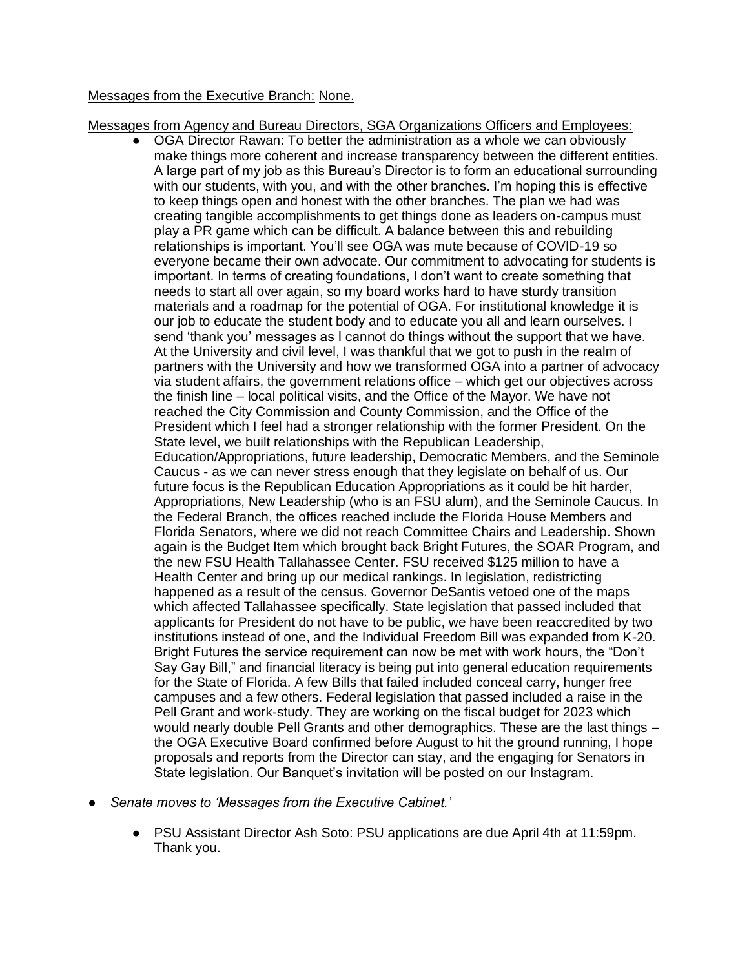### Messages from the Executive Branch: None.

Messages from Agency and Bureau Directors, SGA Organizations Officers and Employees:

- $\bullet$  OGA Director Rawan: To better the administration as a whole we can obviously make things more coherent and increase transparency between the different entities. A large part of my job as this Bureau's Director is to form an educational surrounding with our students, with you, and with the other branches. I'm hoping this is effective to keep things open and honest with the other branches. The plan we had was creating tangible accomplishments to get things done as leaders on-campus must play a PR game which can be difficult. A balance between this and rebuilding relationships is important. You'll see OGA was mute because of COVID-19 so everyone became their own advocate. Our commitment to advocating for students is important. In terms of creating foundations, I don't want to create something that needs to start all over again, so my board works hard to have sturdy transition materials and a roadmap for the potential of OGA. For institutional knowledge it is our job to educate the student body and to educate you all and learn ourselves. I send 'thank you' messages as I cannot do things without the support that we have. At the University and civil level, I was thankful that we got to push in the realm of partners with the University and how we transformed OGA into a partner of advocacy via student affairs, the government relations office – which get our objectives across the finish line – local political visits, and the Office of the Mayor. We have not reached the City Commission and County Commission, and the Office of the President which I feel had a stronger relationship with the former President. On the State level, we built relationships with the Republican Leadership, Education/Appropriations, future leadership, Democratic Members, and the Seminole Caucus - as we can never stress enough that they legislate on behalf of us. Our future focus is the Republican Education Appropriations as it could be hit harder, Appropriations, New Leadership (who is an FSU alum), and the Seminole Caucus. In the Federal Branch, the offices reached include the Florida House Members and Florida Senators, where we did not reach Committee Chairs and Leadership. Shown again is the Budget Item which brought back Bright Futures, the SOAR Program, and the new FSU Health Tallahassee Center. FSU received \$125 million to have a Health Center and bring up our medical rankings. In legislation, redistricting happened as a result of the census. Governor DeSantis vetoed one of the maps which affected Tallahassee specifically. State legislation that passed included that applicants for President do not have to be public, we have been reaccredited by two institutions instead of one, and the Individual Freedom Bill was expanded from K-20. Bright Futures the service requirement can now be met with work hours, the "Don't Say Gay Bill," and financial literacy is being put into general education requirements for the State of Florida. A few Bills that failed included conceal carry, hunger free campuses and a few others. Federal legislation that passed included a raise in the Pell Grant and work-study. They are working on the fiscal budget for 2023 which would nearly double Pell Grants and other demographics. These are the last things – the OGA Executive Board confirmed before August to hit the ground running, I hope proposals and reports from the Director can stay, and the engaging for Senators in State legislation. Our Banquet's invitation will be posted on our Instagram.
- Senate moves to 'Messages from the Executive Cabinet.'
	- PSU Assistant Director Ash Soto: PSU applications are due April 4th at 11:59pm. Thank you.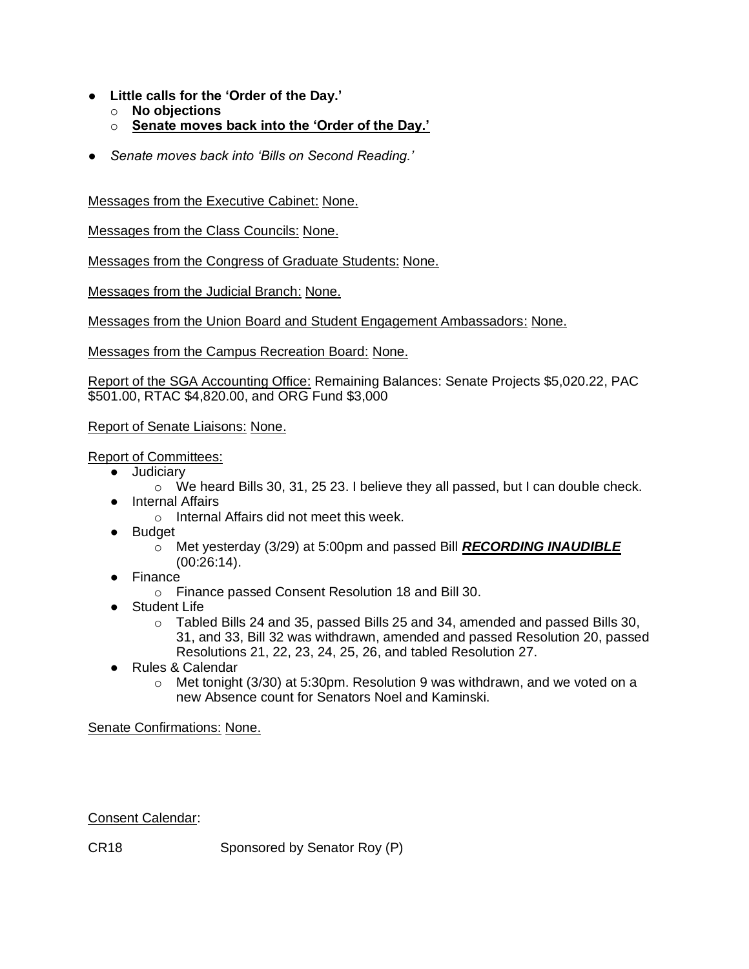- **Little calls for the 'Order of the Day.'**
	- o **No objections**
	- o **Senate moves back into the 'Order of the Day.'**
- *Senate moves back into 'Bills on Second Reading.'*

Messages from the Executive Cabinet: None.

Messages from the Class Councils: None.

Messages from the Congress of Graduate Students: None.

Messages from the Judicial Branch: None.

Messages from the Union Board and Student Engagement Ambassadors: None.

Messages from the Campus Recreation Board: None.

Report of the SGA Accounting Office: Remaining Balances: Senate Projects \$5,020.22, PAC \$501.00, RTAC \$4,820.00, and ORG Fund \$3,000

Report of Senate Liaisons: None.

Report of Committees:

- Judiciary
	- $\circ$  We heard Bills 30, 31, 25 23. I believe they all passed, but I can double check.
- Internal Affairs
	- o Internal Affairs did not meet this week.
- Budget
	- o Met yesterday (3/29) at 5:00pm and passed Bill *RECORDING INAUDIBLE*  (00:26:14).
- Finance
	- o Finance passed Consent Resolution 18 and Bill 30.
- Student Life
	- $\circ$  Tabled Bills 24 and 35, passed Bills 25 and 34, amended and passed Bills 30, 31, and 33, Bill 32 was withdrawn, amended and passed Resolution 20, passed Resolutions 21, 22, 23, 24, 25, 26, and tabled Resolution 27.
- Rules & Calendar
	- $\circ$  Met tonight (3/30) at 5:30pm. Resolution 9 was withdrawn, and we voted on a new Absence count for Senators Noel and Kaminski.

Senate Confirmations: None.

Consent Calendar:

CR18 Sponsored by Senator Roy (P)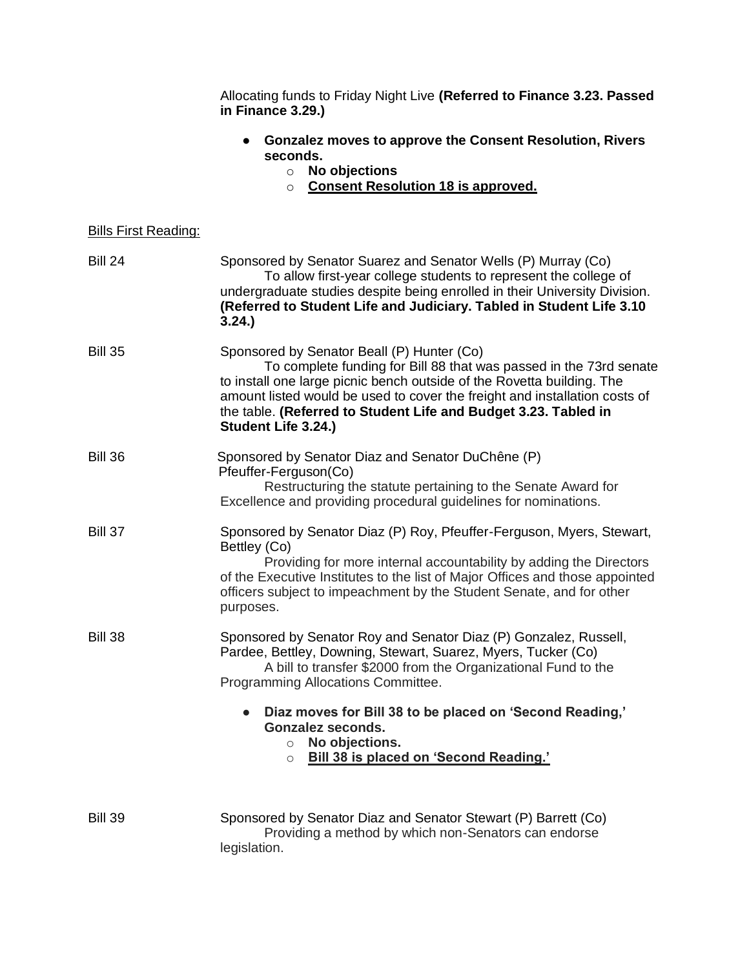|                             | Allocating funds to Friday Night Live (Referred to Finance 3.23. Passed<br>in Finance 3.29.)                                                                                                                                                                                                                                                                       |
|-----------------------------|--------------------------------------------------------------------------------------------------------------------------------------------------------------------------------------------------------------------------------------------------------------------------------------------------------------------------------------------------------------------|
|                             | <b>Gonzalez moves to approve the Consent Resolution, Rivers</b><br>seconds.<br>No objections<br>$\circ$<br><b>Consent Resolution 18 is approved.</b><br>$\circ$                                                                                                                                                                                                    |
| <b>Bills First Reading:</b> |                                                                                                                                                                                                                                                                                                                                                                    |
| <b>Bill 24</b>              | Sponsored by Senator Suarez and Senator Wells (P) Murray (Co)<br>To allow first-year college students to represent the college of<br>undergraduate studies despite being enrolled in their University Division.<br>(Referred to Student Life and Judiciary. Tabled in Student Life 3.10<br>3.24.                                                                   |
| <b>Bill 35</b>              | Sponsored by Senator Beall (P) Hunter (Co)<br>To complete funding for Bill 88 that was passed in the 73rd senate<br>to install one large picnic bench outside of the Rovetta building. The<br>amount listed would be used to cover the freight and installation costs of<br>the table. (Referred to Student Life and Budget 3.23. Tabled in<br>Student Life 3.24.) |
| <b>Bill 36</b>              | Sponsored by Senator Diaz and Senator DuChêne (P)<br>Pfeuffer-Ferguson(Co)<br>Restructuring the statute pertaining to the Senate Award for<br>Excellence and providing procedural guidelines for nominations.                                                                                                                                                      |
| <b>Bill 37</b>              | Sponsored by Senator Diaz (P) Roy, Pfeuffer-Ferguson, Myers, Stewart,<br>Bettley (Co)<br>Providing for more internal accountability by adding the Directors<br>of the Executive Institutes to the list of Major Offices and those appointed<br>officers subject to impeachment by the Student Senate, and for other<br>purposes.                                   |
| <b>Bill 38</b>              | Sponsored by Senator Roy and Senator Diaz (P) Gonzalez, Russell,<br>Pardee, Bettley, Downing, Stewart, Suarez, Myers, Tucker (Co)<br>A bill to transfer \$2000 from the Organizational Fund to the<br>Programming Allocations Committee.                                                                                                                           |
|                             | Diaz moves for Bill 38 to be placed on 'Second Reading,'<br><b>Gonzalez seconds.</b><br>No objections.<br>$\circ$<br><b>Bill 38 is placed on 'Second Reading.'</b><br>$\circ$                                                                                                                                                                                      |
| <b>Bill 39</b>              | Sponsored by Senator Diaz and Senator Stewart (P) Barrett (Co)<br>Providing a method by which non-Senators can endorse<br>legislation.                                                                                                                                                                                                                             |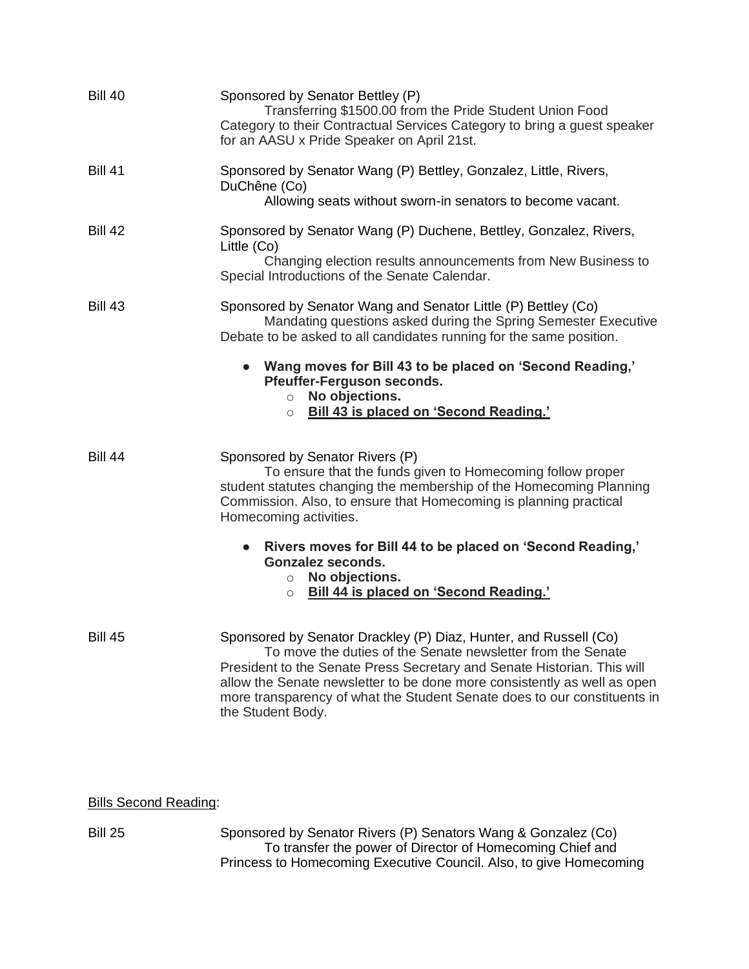| <b>Bill 40</b> | Sponsored by Senator Bettley (P)<br>Transferring \$1500.00 from the Pride Student Union Food<br>Category to their Contractual Services Category to bring a guest speaker<br>for an AASU x Pride Speaker on April 21st.                                                                                                                                                                  |
|----------------|-----------------------------------------------------------------------------------------------------------------------------------------------------------------------------------------------------------------------------------------------------------------------------------------------------------------------------------------------------------------------------------------|
| <b>Bill 41</b> | Sponsored by Senator Wang (P) Bettley, Gonzalez, Little, Rivers,<br>DuChêne (Co)<br>Allowing seats without sworn-in senators to become vacant.                                                                                                                                                                                                                                          |
| <b>Bill 42</b> | Sponsored by Senator Wang (P) Duchene, Bettley, Gonzalez, Rivers,<br>Little (Co)<br>Changing election results announcements from New Business to<br>Special Introductions of the Senate Calendar.                                                                                                                                                                                       |
| <b>Bill 43</b> | Sponsored by Senator Wang and Senator Little (P) Bettley (Co)<br>Mandating questions asked during the Spring Semester Executive<br>Debate to be asked to all candidates running for the same position.                                                                                                                                                                                  |
|                | • Wang moves for Bill 43 to be placed on 'Second Reading,'<br>Pfeuffer-Ferguson seconds.<br>No objections.<br>$\circ$<br>Bill 43 is placed on 'Second Reading.'<br>$\circ$                                                                                                                                                                                                              |
| <b>Bill 44</b> | Sponsored by Senator Rivers (P)<br>To ensure that the funds given to Homecoming follow proper<br>student statutes changing the membership of the Homecoming Planning<br>Commission. Also, to ensure that Homecoming is planning practical<br>Homecoming activities.                                                                                                                     |
|                | Rivers moves for Bill 44 to be placed on 'Second Reading,'<br>$\bullet$<br><b>Gonzalez seconds.</b><br>No objections.<br>$\circ$<br>Bill 44 is placed on 'Second Reading.'<br>$\circ$                                                                                                                                                                                                   |
| <b>Bill 45</b> | Sponsored by Senator Drackley (P) Diaz, Hunter, and Russell (Co)<br>To move the duties of the Senate newsletter from the Senate<br>President to the Senate Press Secretary and Senate Historian. This will<br>allow the Senate newsletter to be done more consistently as well as open<br>more transparency of what the Student Senate does to our constituents in<br>the Student Body. |

Bills Second Reading:

Bill 25 Sponsored by Senator Rivers (P) Senators Wang & Gonzalez (Co) To transfer the power of Director of Homecoming Chief and Princess to Homecoming Executive Council. Also, to give Homecoming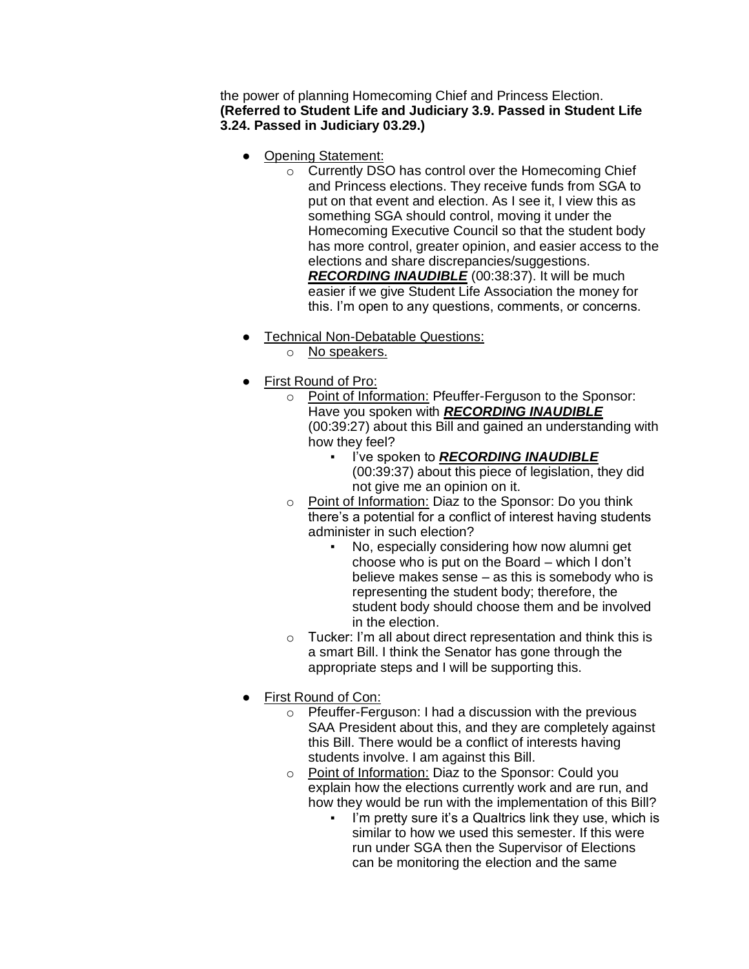the power of planning Homecoming Chief and Princess Election. **(Referred to Student Life and Judiciary 3.9. Passed in Student Life 3.24. Passed in Judiciary 03.29.)**

- Opening Statement:
	- o Currently DSO has control over the Homecoming Chief and Princess elections. They receive funds from SGA to put on that event and election. As I see it, I view this as something SGA should control, moving it under the Homecoming Executive Council so that the student body has more control, greater opinion, and easier access to the elections and share discrepancies/suggestions. *RECORDING INAUDIBLE* (00:38:37). It will be much easier if we give Student Life Association the money for this. I'm open to any questions, comments, or concerns.
- Technical Non-Debatable Questions:
	- o No speakers.
- First Round of Pro:
	- o Point of Information: Pfeuffer-Ferguson to the Sponsor: Have you spoken with *RECORDING INAUDIBLE*  (00:39:27) about this Bill and gained an understanding with how they feel?
		- I've spoken to *RECORDING INAUDIBLE*  (00:39:37) about this piece of legislation, they did not give me an opinion on it.
	- o Point of Information: Diaz to the Sponsor: Do you think there's a potential for a conflict of interest having students administer in such election?
		- No, especially considering how now alumni get choose who is put on the Board – which I don't believe makes sense – as this is somebody who is representing the student body; therefore, the student body should choose them and be involved in the election.
	- o Tucker: I'm all about direct representation and think this is a smart Bill. I think the Senator has gone through the appropriate steps and I will be supporting this.
- First Round of Con:
	- o Pfeuffer-Ferguson: I had a discussion with the previous SAA President about this, and they are completely against this Bill. There would be a conflict of interests having students involve. I am against this Bill.
	- o Point of Information: Diaz to the Sponsor: Could you explain how the elections currently work and are run, and how they would be run with the implementation of this Bill?
		- I'm pretty sure it's a Qualtrics link they use, which is similar to how we used this semester. If this were run under SGA then the Supervisor of Elections can be monitoring the election and the same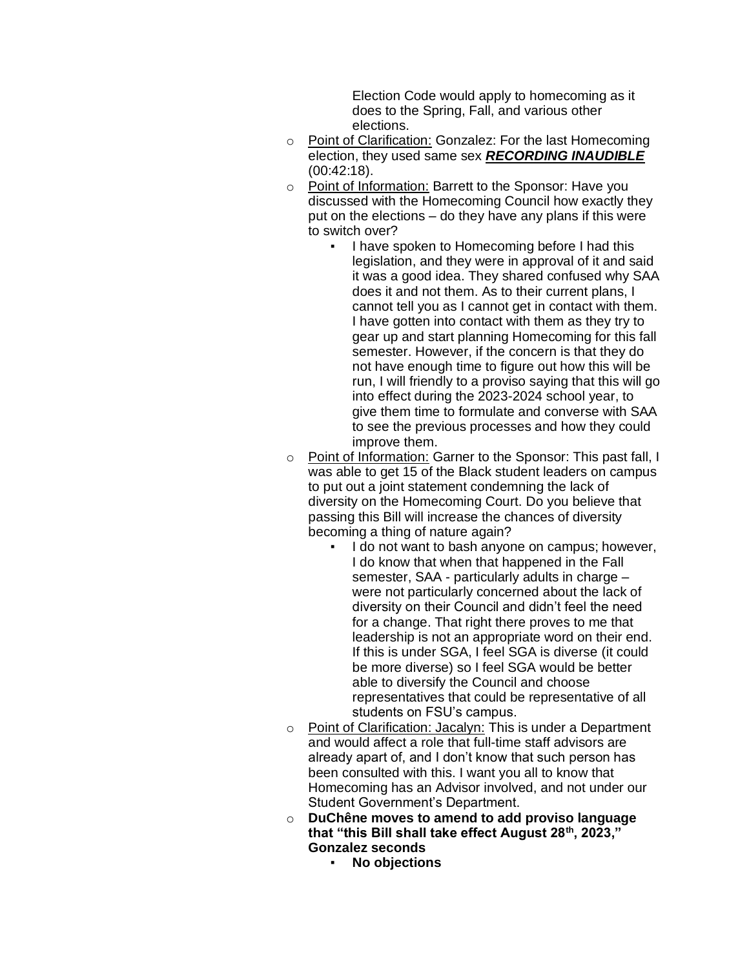Election Code would apply to homecoming as it does to the Spring, Fall, and various other elections.

- o Point of Clarification: Gonzalez: For the last Homecoming election, they used same sex *RECORDING INAUDIBLE*  (00:42:18).
- o Point of Information: Barrett to the Sponsor: Have you discussed with the Homecoming Council how exactly they put on the elections – do they have any plans if this were to switch over?
	- I have spoken to Homecoming before I had this legislation, and they were in approval of it and said it was a good idea. They shared confused why SAA does it and not them. As to their current plans, I cannot tell you as I cannot get in contact with them. I have gotten into contact with them as they try to gear up and start planning Homecoming for this fall semester. However, if the concern is that they do not have enough time to figure out how this will be run, I will friendly to a proviso saying that this will go into effect during the 2023-2024 school year, to give them time to formulate and converse with SAA to see the previous processes and how they could improve them.
- o Point of Information: Garner to the Sponsor: This past fall, I was able to get 15 of the Black student leaders on campus to put out a joint statement condemning the lack of diversity on the Homecoming Court. Do you believe that passing this Bill will increase the chances of diversity becoming a thing of nature again?
	- I do not want to bash anyone on campus; however, I do know that when that happened in the Fall semester, SAA - particularly adults in charge – were not particularly concerned about the lack of diversity on their Council and didn't feel the need for a change. That right there proves to me that leadership is not an appropriate word on their end. If this is under SGA, I feel SGA is diverse (it could be more diverse) so I feel SGA would be better able to diversify the Council and choose representatives that could be representative of all students on FSU's campus.
- o Point of Clarification: Jacalyn: This is under a Department and would affect a role that full-time staff advisors are already apart of, and I don't know that such person has been consulted with this. I want you all to know that Homecoming has an Advisor involved, and not under our Student Government's Department.
- o **DuChêne moves to amend to add proviso language that "this Bill shall take effect August 28th, 2023," Gonzalez seconds**
	- **No objections**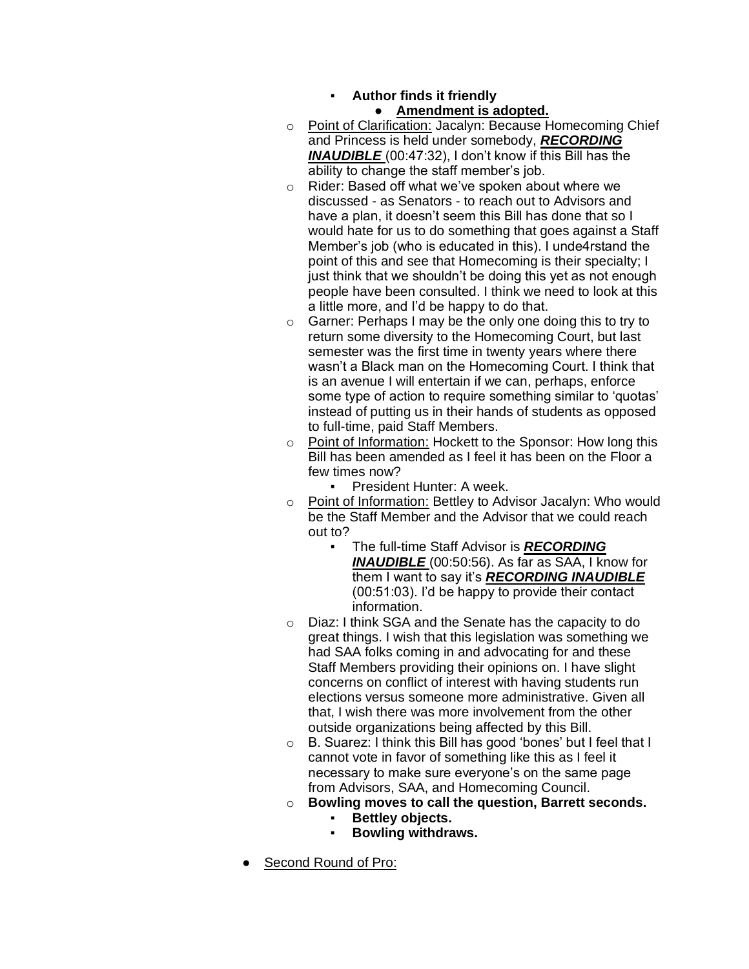# ▪ **Author finds it friendly**

### Amendment is adopted.

- o Point of Clarification: Jacalyn: Because Homecoming Chief and Princess is held under somebody, *RECORDING INAUDIBLE* (00:47:32), I don't know if this Bill has the ability to change the staff member's job.
- o Rider: Based off what we've spoken about where we discussed - as Senators - to reach out to Advisors and have a plan, it doesn't seem this Bill has done that so I would hate for us to do something that goes against a Staff Member's job (who is educated in this). I unde4rstand the point of this and see that Homecoming is their specialty; I just think that we shouldn't be doing this yet as not enough people have been consulted. I think we need to look at this a little more, and I'd be happy to do that.
- o Garner: Perhaps I may be the only one doing this to try to return some diversity to the Homecoming Court, but last semester was the first time in twenty years where there wasn't a Black man on the Homecoming Court. I think that is an avenue I will entertain if we can, perhaps, enforce some type of action to require something similar to 'quotas' instead of putting us in their hands of students as opposed to full-time, paid Staff Members.
- o Point of Information: Hockett to the Sponsor: How long this Bill has been amended as I feel it has been on the Floor a few times now?
	- President Hunter: A week.
- o Point of Information: Bettley to Advisor Jacalyn: Who would be the Staff Member and the Advisor that we could reach out to?
	- The full-time Staff Advisor is **RECORDING** *INAUDIBLE* (00:50:56). As far as SAA, I know for them I want to say it's *RECORDING INAUDIBLE*  (00:51:03). I'd be happy to provide their contact information.
- o Diaz: I think SGA and the Senate has the capacity to do great things. I wish that this legislation was something we had SAA folks coming in and advocating for and these Staff Members providing their opinions on. I have slight concerns on conflict of interest with having students run elections versus someone more administrative. Given all that, I wish there was more involvement from the other outside organizations being affected by this Bill.
- o B. Suarez: I think this Bill has good 'bones' but I feel that I cannot vote in favor of something like this as I feel it necessary to make sure everyone's on the same page from Advisors, SAA, and Homecoming Council.
- o **Bowling moves to call the question, Barrett seconds.**
	- **Bettley objects.**
	- **Bowling withdraws.**
- Second Round of Pro: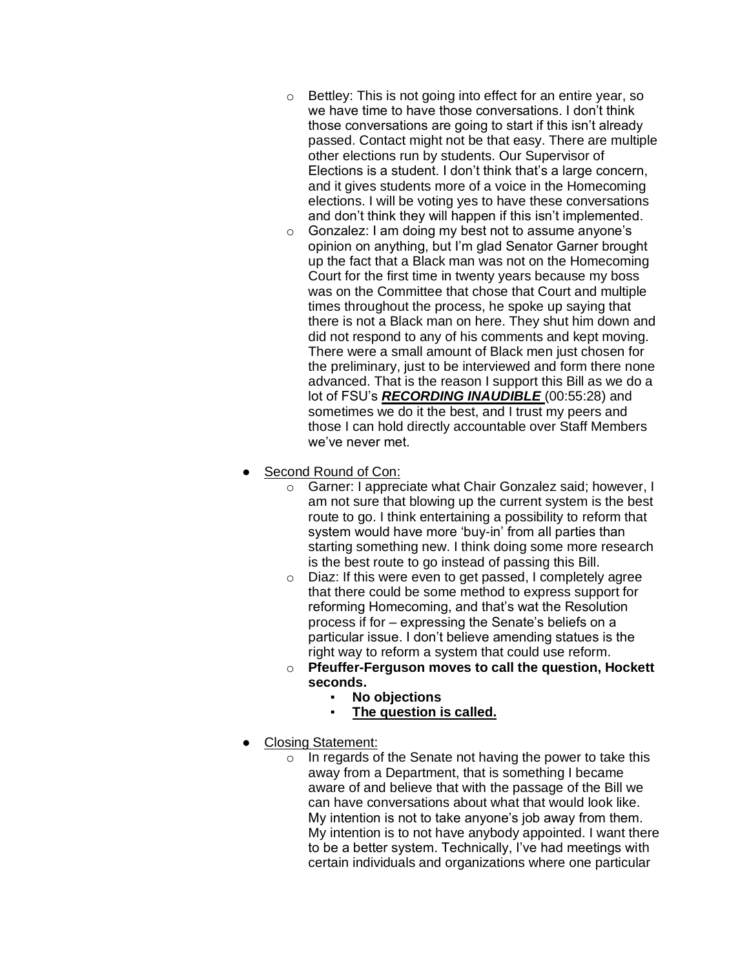- o Bettley: This is not going into effect for an entire year, so we have time to have those conversations. I don't think those conversations are going to start if this isn't already passed. Contact might not be that easy. There are multiple other elections run by students. Our Supervisor of Elections is a student. I don't think that's a large concern, and it gives students more of a voice in the Homecoming elections. I will be voting yes to have these conversations and don't think they will happen if this isn't implemented.
- o Gonzalez: I am doing my best not to assume anyone's opinion on anything, but I'm glad Senator Garner brought up the fact that a Black man was not on the Homecoming Court for the first time in twenty years because my boss was on the Committee that chose that Court and multiple times throughout the process, he spoke up saying that there is not a Black man on here. They shut him down and did not respond to any of his comments and kept moving. There were a small amount of Black men just chosen for the preliminary, just to be interviewed and form there none advanced. That is the reason I support this Bill as we do a lot of FSU's *RECORDING INAUDIBLE* (00:55:28) and sometimes we do it the best, and I trust my peers and those I can hold directly accountable over Staff Members we've never met.
- Second Round of Con:
	- o Garner: I appreciate what Chair Gonzalez said; however, I am not sure that blowing up the current system is the best route to go. I think entertaining a possibility to reform that system would have more 'buy-in' from all parties than starting something new. I think doing some more research is the best route to go instead of passing this Bill.
	- o Diaz: If this were even to get passed, I completely agree that there could be some method to express support for reforming Homecoming, and that's wat the Resolution process if for – expressing the Senate's beliefs on a particular issue. I don't believe amending statues is the right way to reform a system that could use reform.
	- o **Pfeuffer-Ferguson moves to call the question, Hockett seconds.**
		- **No objections**
		- **The question is called.**
- Closing Statement:
	- $\circ$  In regards of the Senate not having the power to take this away from a Department, that is something I became aware of and believe that with the passage of the Bill we can have conversations about what that would look like. My intention is not to take anyone's job away from them. My intention is to not have anybody appointed. I want there to be a better system. Technically, I've had meetings with certain individuals and organizations where one particular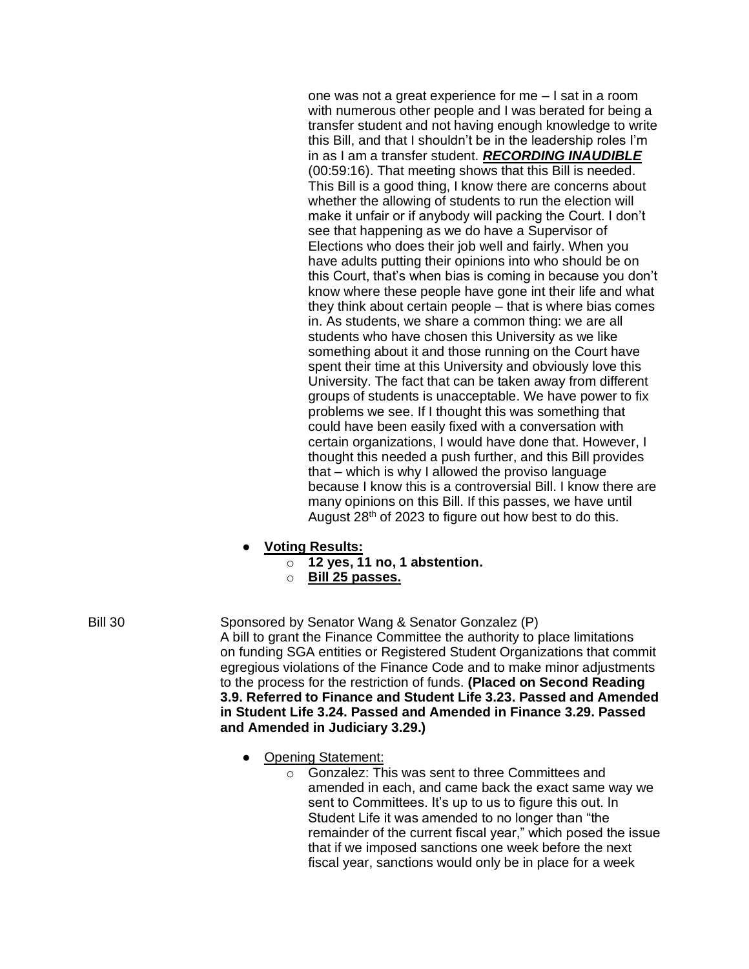one was not a great experience for me – I sat in a room with numerous other people and I was berated for being a transfer student and not having enough knowledge to write this Bill, and that I shouldn't be in the leadership roles I'm in as I am a transfer student. *RECORDING INAUDIBLE*  (00:59:16). That meeting shows that this Bill is needed. This Bill is a good thing, I know there are concerns about whether the allowing of students to run the election will make it unfair or if anybody will packing the Court. I don't see that happening as we do have a Supervisor of Elections who does their job well and fairly. When you have adults putting their opinions into who should be on this Court, that's when bias is coming in because you don't know where these people have gone int their life and what they think about certain people – that is where bias comes in. As students, we share a common thing: we are all students who have chosen this University as we like something about it and those running on the Court have spent their time at this University and obviously love this University. The fact that can be taken away from different groups of students is unacceptable. We have power to fix problems we see. If I thought this was something that could have been easily fixed with a conversation with certain organizations, I would have done that. However, I thought this needed a push further, and this Bill provides that – which is why I allowed the proviso language because I know this is a controversial Bill. I know there are many opinions on this Bill. If this passes, we have until August 28th of 2023 to figure out how best to do this.

- **Voting Results:**
	- o **12 yes, 11 no, 1 abstention.**
	- o **Bill 25 passes.**
- Bill 30 Sponsored by Senator Wang & Senator Gonzalez (P) A bill to grant the Finance Committee the authority to place limitations on funding SGA entities or Registered Student Organizations that commit egregious violations of the Finance Code and to make minor adjustments to the process for the restriction of funds. **(Placed on Second Reading 3.9. Referred to Finance and Student Life 3.23. Passed and Amended in Student Life 3.24. Passed and Amended in Finance 3.29. Passed and Amended in Judiciary 3.29.)**
	- Opening Statement:
		- o Gonzalez: This was sent to three Committees and amended in each, and came back the exact same way we sent to Committees. It's up to us to figure this out. In Student Life it was amended to no longer than "the remainder of the current fiscal year," which posed the issue that if we imposed sanctions one week before the next fiscal year, sanctions would only be in place for a week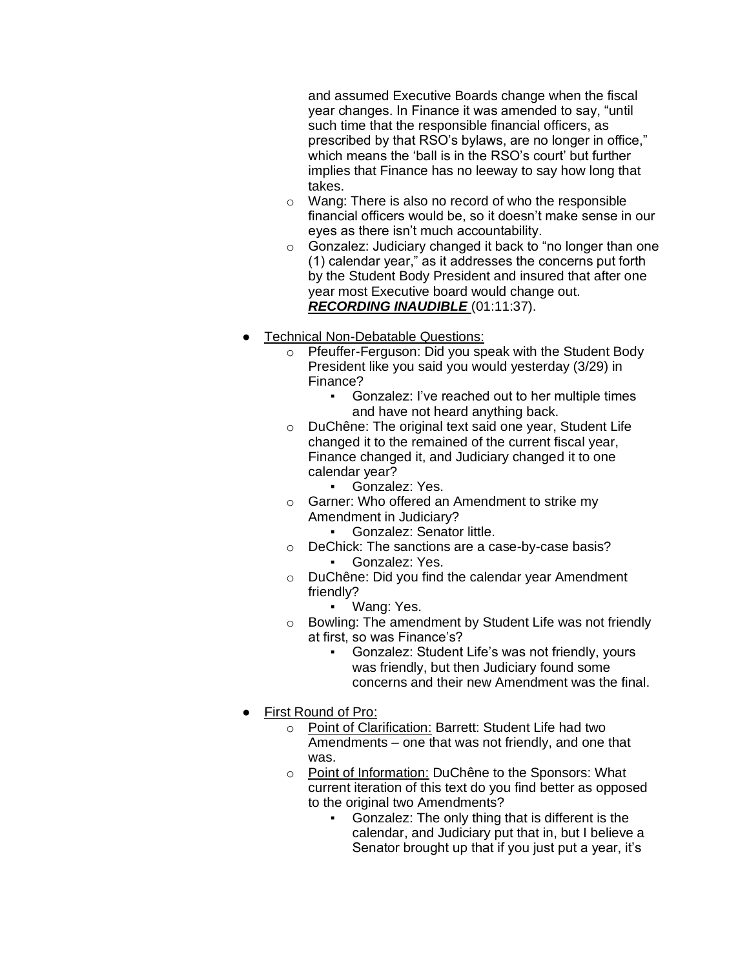and assumed Executive Boards change when the fiscal year changes. In Finance it was amended to say, "until such time that the responsible financial officers, as prescribed by that RSO's bylaws, are no longer in office," which means the 'ball is in the RSO's court' but further implies that Finance has no leeway to say how long that takes.

- o Wang: There is also no record of who the responsible financial officers would be, so it doesn't make sense in our eyes as there isn't much accountability.
- o Gonzalez: Judiciary changed it back to "no longer than one (1) calendar year," as it addresses the concerns put forth by the Student Body President and insured that after one year most Executive board would change out. *RECORDING INAUDIBLE* (01:11:37).
- Technical Non-Debatable Questions:
	- o Pfeuffer-Ferguson: Did you speak with the Student Body President like you said you would yesterday (3/29) in Finance?
		- Gonzalez: I've reached out to her multiple times and have not heard anything back.
	- o DuChêne: The original text said one year, Student Life changed it to the remained of the current fiscal year, Finance changed it, and Judiciary changed it to one calendar year?
		- Gonzalez: Yes.
	- o Garner: Who offered an Amendment to strike my Amendment in Judiciary?
		- Gonzalez: Senator little.
	- o DeChick: The sanctions are a case-by-case basis? Gonzalez: Yes.
	- o DuChêne: Did you find the calendar year Amendment friendly?
		- Wang: Yes.
	- o Bowling: The amendment by Student Life was not friendly at first, so was Finance's?
		- Gonzalez: Student Life's was not friendly, yours was friendly, but then Judiciary found some concerns and their new Amendment was the final.
- First Round of Pro:
	- o Point of Clarification: Barrett: Student Life had two Amendments – one that was not friendly, and one that was.
	- o Point of Information: DuChêne to the Sponsors: What current iteration of this text do you find better as opposed to the original two Amendments?
		- Gonzalez: The only thing that is different is the calendar, and Judiciary put that in, but I believe a Senator brought up that if you just put a year, it's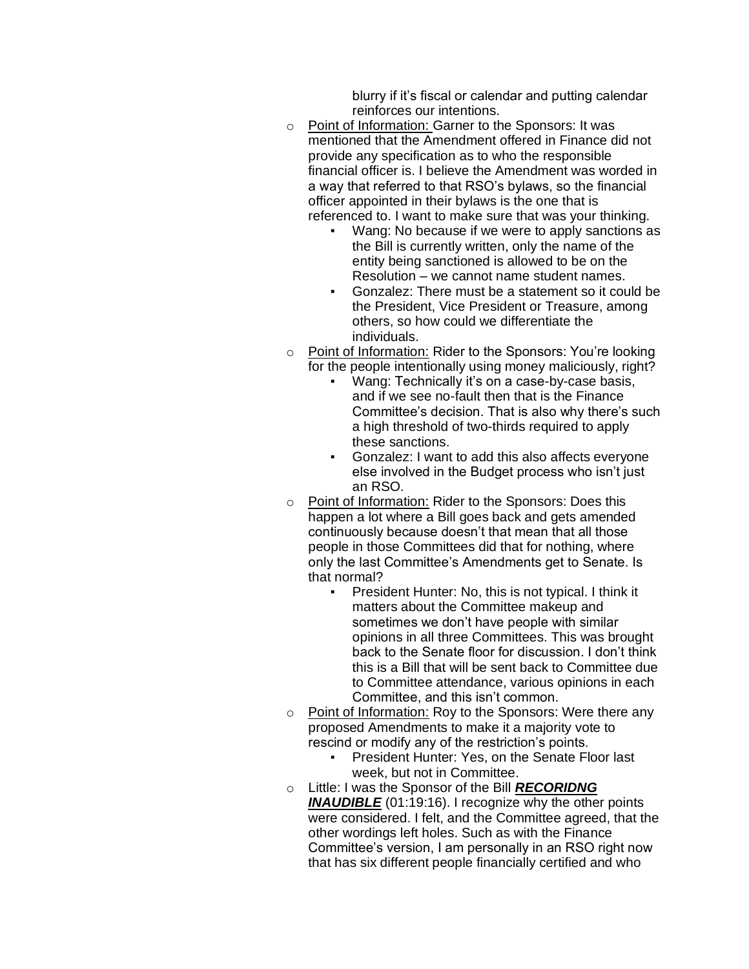blurry if it's fiscal or calendar and putting calendar reinforces our intentions.

- o Point of Information: Garner to the Sponsors: It was mentioned that the Amendment offered in Finance did not provide any specification as to who the responsible financial officer is. I believe the Amendment was worded in a way that referred to that RSO's bylaws, so the financial officer appointed in their bylaws is the one that is referenced to. I want to make sure that was your thinking.
	- Wang: No because if we were to apply sanctions as the Bill is currently written, only the name of the entity being sanctioned is allowed to be on the Resolution – we cannot name student names.
	- Gonzalez: There must be a statement so it could be the President, Vice President or Treasure, among others, so how could we differentiate the individuals.
- o Point of Information: Rider to the Sponsors: You're looking for the people intentionally using money maliciously, right?
	- Wang: Technically it's on a case-by-case basis, and if we see no-fault then that is the Finance Committee's decision. That is also why there's such a high threshold of two-thirds required to apply these sanctions.
	- Gonzalez: I want to add this also affects everyone else involved in the Budget process who isn't just an RSO.
- o Point of Information: Rider to the Sponsors: Does this happen a lot where a Bill goes back and gets amended continuously because doesn't that mean that all those people in those Committees did that for nothing, where only the last Committee's Amendments get to Senate. Is that normal?
	- President Hunter: No, this is not typical. I think it matters about the Committee makeup and sometimes we don't have people with similar opinions in all three Committees. This was brought back to the Senate floor for discussion. I don't think this is a Bill that will be sent back to Committee due to Committee attendance, various opinions in each Committee, and this isn't common.
- o Point of Information: Roy to the Sponsors: Were there any proposed Amendments to make it a majority vote to rescind or modify any of the restriction's points.
	- President Hunter: Yes, on the Senate Floor last week, but not in Committee.
- o Little: I was the Sponsor of the Bill *RECORIDNG INAUDIBLE* (01:19:16). I recognize why the other points were considered. I felt, and the Committee agreed, that the other wordings left holes. Such as with the Finance Committee's version, I am personally in an RSO right now that has six different people financially certified and who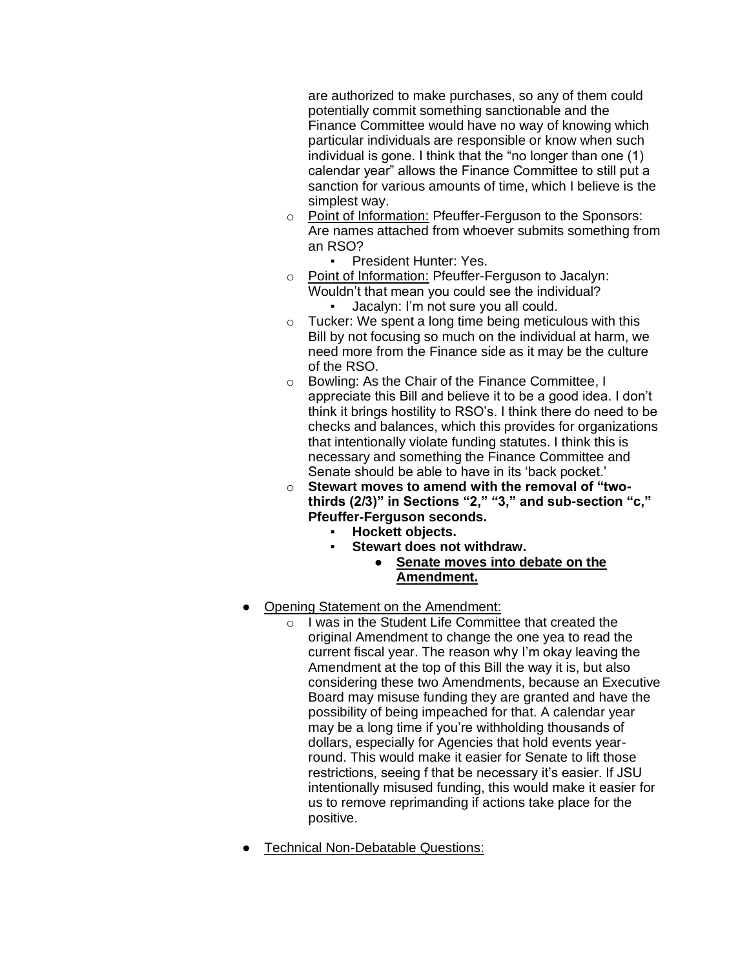are authorized to make purchases, so any of them could potentially commit something sanctionable and the Finance Committee would have no way of knowing which particular individuals are responsible or know when such individual is gone. I think that the "no longer than one (1) calendar year" allows the Finance Committee to still put a sanction for various amounts of time, which I believe is the simplest way.

- o Point of Information: Pfeuffer-Ferguson to the Sponsors: Are names attached from whoever submits something from an RSO?
	- President Hunter: Yes.
- o Point of Information: Pfeuffer-Ferguson to Jacalyn: Wouldn't that mean you could see the individual? Jacalyn: I'm not sure you all could.
- o Tucker: We spent a long time being meticulous with this Bill by not focusing so much on the individual at harm, we need more from the Finance side as it may be the culture of the RSO.
- o Bowling: As the Chair of the Finance Committee, I appreciate this Bill and believe it to be a good idea. I don't think it brings hostility to RSO's. I think there do need to be checks and balances, which this provides for organizations that intentionally violate funding statutes. I think this is necessary and something the Finance Committee and Senate should be able to have in its 'back pocket.'
- o **Stewart moves to amend with the removal of "twothirds (2/3)" in Sections "2," "3," and sub-section "c," Pfeuffer-Ferguson seconds.**
	- **Hockett objects.**
	- **Stewart does not withdraw.** 
		- **Senate moves into debate on the Amendment.**
- Opening Statement on the Amendment:
	- o I was in the Student Life Committee that created the original Amendment to change the one yea to read the current fiscal year. The reason why I'm okay leaving the Amendment at the top of this Bill the way it is, but also considering these two Amendments, because an Executive Board may misuse funding they are granted and have the possibility of being impeached for that. A calendar year may be a long time if you're withholding thousands of dollars, especially for Agencies that hold events yearround. This would make it easier for Senate to lift those restrictions, seeing f that be necessary it's easier. If JSU intentionally misused funding, this would make it easier for us to remove reprimanding if actions take place for the positive.
- Technical Non-Debatable Questions: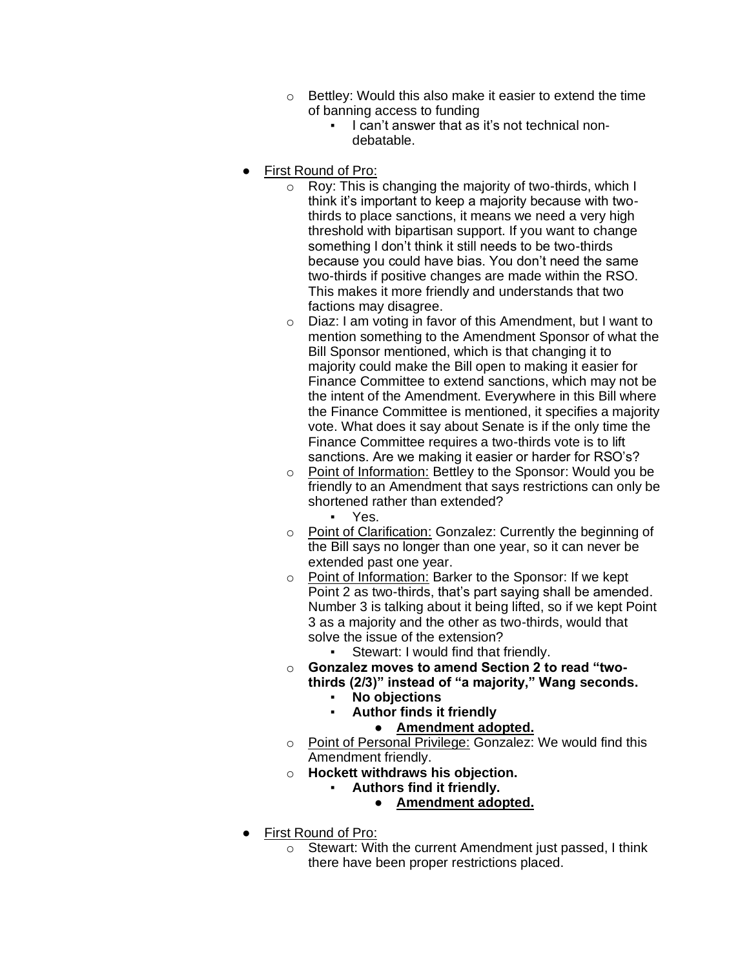- o Bettley: Would this also make it easier to extend the time of banning access to funding
	- I can't answer that as it's not technical nondebatable.
- First Round of Pro:
	- o Roy: This is changing the majority of two-thirds, which I think it's important to keep a majority because with twothirds to place sanctions, it means we need a very high threshold with bipartisan support. If you want to change something I don't think it still needs to be two-thirds because you could have bias. You don't need the same two-thirds if positive changes are made within the RSO. This makes it more friendly and understands that two factions may disagree.
	- o Diaz: I am voting in favor of this Amendment, but I want to mention something to the Amendment Sponsor of what the Bill Sponsor mentioned, which is that changing it to majority could make the Bill open to making it easier for Finance Committee to extend sanctions, which may not be the intent of the Amendment. Everywhere in this Bill where the Finance Committee is mentioned, it specifies a majority vote. What does it say about Senate is if the only time the Finance Committee requires a two-thirds vote is to lift sanctions. Are we making it easier or harder for RSO's?
	- o Point of Information: Bettley to the Sponsor: Would you be friendly to an Amendment that says restrictions can only be shortened rather than extended?
		- Yes.
	- o Point of Clarification: Gonzalez: Currently the beginning of the Bill says no longer than one year, so it can never be extended past one year.
	- o Point of Information: Barker to the Sponsor: If we kept Point 2 as two-thirds, that's part saying shall be amended. Number 3 is talking about it being lifted, so if we kept Point 3 as a majority and the other as two-thirds, would that solve the issue of the extension?
		- Stewart: I would find that friendly.
	- o **Gonzalez moves to amend Section 2 to read "twothirds (2/3)" instead of "a majority," Wang seconds.**
		- **No objections** 
			- **Author finds it friendly** 
				- **Amendment adopted.**
	- o Point of Personal Privilege: Gonzalez: We would find this Amendment friendly.
	- o **Hockett withdraws his objection.**
		- **Authors find it friendly.**
			- **Amendment adopted.**
- First Round of Pro:
	- o Stewart: With the current Amendment just passed, I think there have been proper restrictions placed.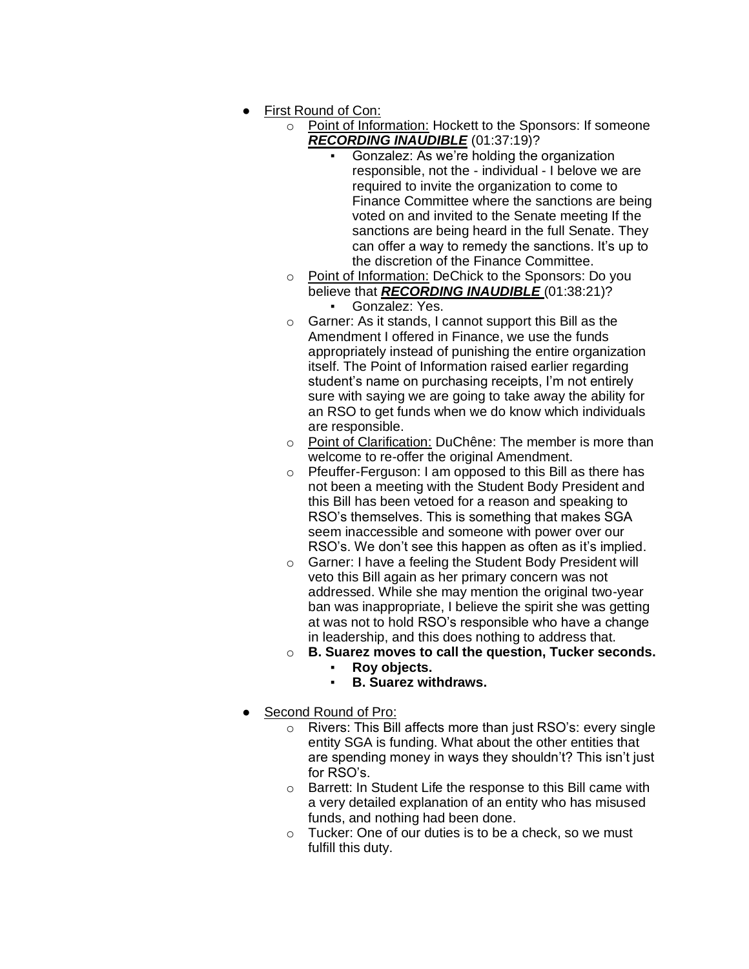- First Round of Con:
	- o Point of Information: Hockett to the Sponsors: If someone *RECORDING INAUDIBLE* (01:37:19)?
		- Gonzalez: As we're holding the organization responsible, not the - individual - I belove we are required to invite the organization to come to Finance Committee where the sanctions are being voted on and invited to the Senate meeting If the sanctions are being heard in the full Senate. They can offer a way to remedy the sanctions. It's up to the discretion of the Finance Committee.
	- o Point of Information: DeChick to the Sponsors: Do you believe that *RECORDING INAUDIBLE* (01:38:21)? Gonzalez: Yes.
	- o Garner: As it stands, I cannot support this Bill as the Amendment I offered in Finance, we use the funds appropriately instead of punishing the entire organization itself. The Point of Information raised earlier regarding student's name on purchasing receipts, I'm not entirely sure with saying we are going to take away the ability for an RSO to get funds when we do know which individuals are responsible.
	- o Point of Clarification: DuChêne: The member is more than welcome to re-offer the original Amendment.
	- o Pfeuffer-Ferguson: I am opposed to this Bill as there has not been a meeting with the Student Body President and this Bill has been vetoed for a reason and speaking to RSO's themselves. This is something that makes SGA seem inaccessible and someone with power over our RSO's. We don't see this happen as often as it's implied.
	- o Garner: I have a feeling the Student Body President will veto this Bill again as her primary concern was not addressed. While she may mention the original two-year ban was inappropriate, I believe the spirit she was getting at was not to hold RSO's responsible who have a change in leadership, and this does nothing to address that.
	- o **B. Suarez moves to call the question, Tucker seconds.**
		- **Roy objects.**
		- **B. Suarez withdraws.**
- Second Round of Pro:
	- o Rivers: This Bill affects more than just RSO's: every single entity SGA is funding. What about the other entities that are spending money in ways they shouldn't? This isn't just for RSO's.
	- o Barrett: In Student Life the response to this Bill came with a very detailed explanation of an entity who has misused funds, and nothing had been done.
	- o Tucker: One of our duties is to be a check, so we must fulfill this duty.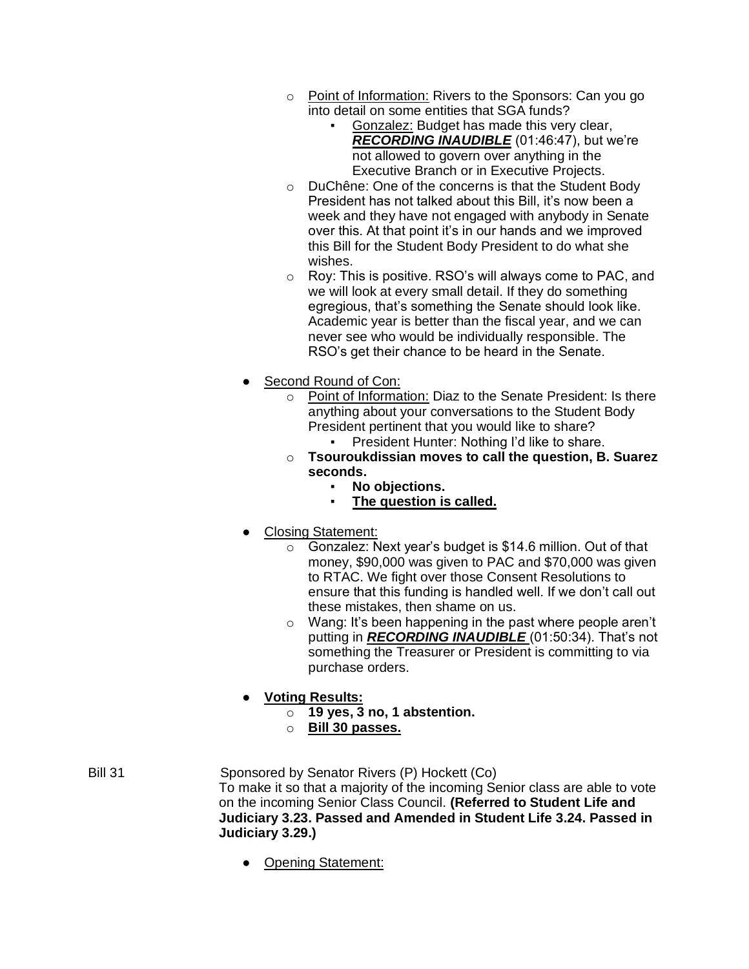- o Point of Information: Rivers to the Sponsors: Can you go into detail on some entities that SGA funds?
	- Gonzalez: Budget has made this very clear, *RECORDING INAUDIBLE* (01:46:47), but we're not allowed to govern over anything in the Executive Branch or in Executive Projects.
- o DuChêne: One of the concerns is that the Student Body President has not talked about this Bill, it's now been a week and they have not engaged with anybody in Senate over this. At that point it's in our hands and we improved this Bill for the Student Body President to do what she wishes.
- o Roy: This is positive. RSO's will always come to PAC, and we will look at every small detail. If they do something egregious, that's something the Senate should look like. Academic year is better than the fiscal year, and we can never see who would be individually responsible. The RSO's get their chance to be heard in the Senate.
- Second Round of Con:
	- o Point of Information: Diaz to the Senate President: Is there anything about your conversations to the Student Body President pertinent that you would like to share? President Hunter: Nothing I'd like to share.
	- o **Tsouroukdissian moves to call the question, B. Suarez seconds.**
		- No objections.
		- The question is called.
- **Closing Statement:** 
	- $\circ$  Gonzalez: Next year's budget is \$14.6 million. Out of that money, \$90,000 was given to PAC and \$70,000 was given to RTAC. We fight over those Consent Resolutions to ensure that this funding is handled well. If we don't call out these mistakes, then shame on us.
	- o Wang: It's been happening in the past where people aren't putting in *RECORDING INAUDIBLE* (01:50:34). That's not something the Treasurer or President is committing to via purchase orders.
- **Voting Results:**
	- o **19 yes, 3 no, 1 abstention.**
	- o **Bill 30 passes.**
- Bill 31 Sponsored by Senator Rivers (P) Hockett (Co) To make it so that a majority of the incoming Senior class are able to vote on the incoming Senior Class Council. **(Referred to Student Life and Judiciary 3.23. Passed and Amended in Student Life 3.24. Passed in Judiciary 3.29.)**
	- Opening Statement: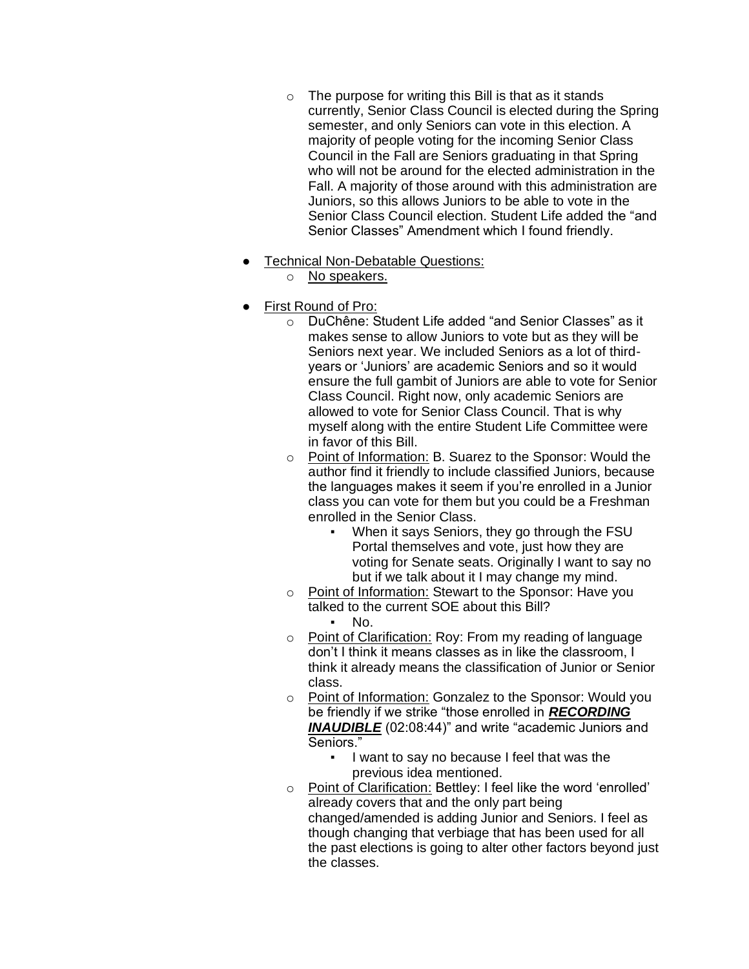- $\circ$  The purpose for writing this Bill is that as it stands currently, Senior Class Council is elected during the Spring semester, and only Seniors can vote in this election. A majority of people voting for the incoming Senior Class Council in the Fall are Seniors graduating in that Spring who will not be around for the elected administration in the Fall. A majority of those around with this administration are Juniors, so this allows Juniors to be able to vote in the Senior Class Council election. Student Life added the "and Senior Classes" Amendment which I found friendly.
- Technical Non-Debatable Questions:
	- o No speakers.
- **First Round of Pro:** 
	- o DuChêne: Student Life added "and Senior Classes" as it makes sense to allow Juniors to vote but as they will be Seniors next year. We included Seniors as a lot of thirdyears or 'Juniors' are academic Seniors and so it would ensure the full gambit of Juniors are able to vote for Senior Class Council. Right now, only academic Seniors are allowed to vote for Senior Class Council. That is why myself along with the entire Student Life Committee were in favor of this Bill.
	- o Point of Information: B. Suarez to the Sponsor: Would the author find it friendly to include classified Juniors, because the languages makes it seem if you're enrolled in a Junior class you can vote for them but you could be a Freshman enrolled in the Senior Class.
		- When it says Seniors, they go through the FSU Portal themselves and vote, just how they are voting for Senate seats. Originally I want to say no but if we talk about it I may change my mind.
	- o Point of Information: Stewart to the Sponsor: Have you talked to the current SOE about this Bill? No.
	- o Point of Clarification: Roy: From my reading of language don't I think it means classes as in like the classroom, I think it already means the classification of Junior or Senior class.
	- o Point of Information: Gonzalez to the Sponsor: Would you be friendly if we strike "those enrolled in *RECORDING*  **INAUDIBLE** (02:08:44)" and write "academic Juniors and Seniors."
		- I want to say no because I feel that was the previous idea mentioned.
	- o Point of Clarification: Bettley: I feel like the word 'enrolled' already covers that and the only part being changed/amended is adding Junior and Seniors. I feel as though changing that verbiage that has been used for all the past elections is going to alter other factors beyond just the classes.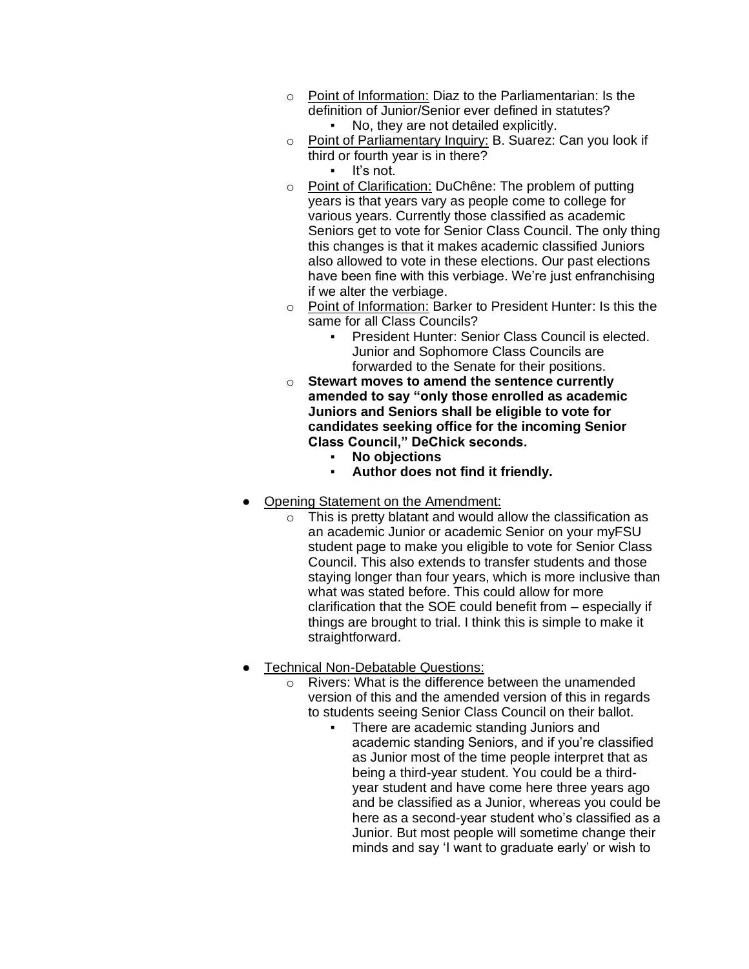- o Point of Information: Diaz to the Parliamentarian: Is the definition of Junior/Senior ever defined in statutes? No, they are not detailed explicitly.
- o Point of Parliamentary Inquiry: B. Suarez: Can you look if third or fourth year is in there?
	- It's not.
- o Point of Clarification: DuChêne: The problem of putting years is that years vary as people come to college for various years. Currently those classified as academic Seniors get to vote for Senior Class Council. The only thing this changes is that it makes academic classified Juniors also allowed to vote in these elections. Our past elections have been fine with this verbiage. We're just enfranchising if we alter the verbiage.
- o Point of Information: Barker to President Hunter: Is this the same for all Class Councils?
	- President Hunter: Senior Class Council is elected. Junior and Sophomore Class Councils are forwarded to the Senate for their positions.
- o **Stewart moves to amend the sentence currently amended to say "only those enrolled as academic Juniors and Seniors shall be eligible to vote for candidates seeking office for the incoming Senior Class Council," DeChick seconds.**
	- **No objections**
	- **Author does not find it friendly.**
- Opening Statement on the Amendment:
	- $\circ$  This is pretty blatant and would allow the classification as an academic Junior or academic Senior on your myFSU student page to make you eligible to vote for Senior Class Council. This also extends to transfer students and those staying longer than four years, which is more inclusive than what was stated before. This could allow for more clarification that the SOE could benefit from – especially if things are brought to trial. I think this is simple to make it straightforward.
- **Technical Non-Debatable Questions:** 
	- o Rivers: What is the difference between the unamended version of this and the amended version of this in regards to students seeing Senior Class Council on their ballot.
		- There are academic standing Juniors and academic standing Seniors, and if you're classified as Junior most of the time people interpret that as being a third-year student. You could be a thirdyear student and have come here three years ago and be classified as a Junior, whereas you could be here as a second-year student who's classified as a Junior. But most people will sometime change their minds and say 'I want to graduate early' or wish to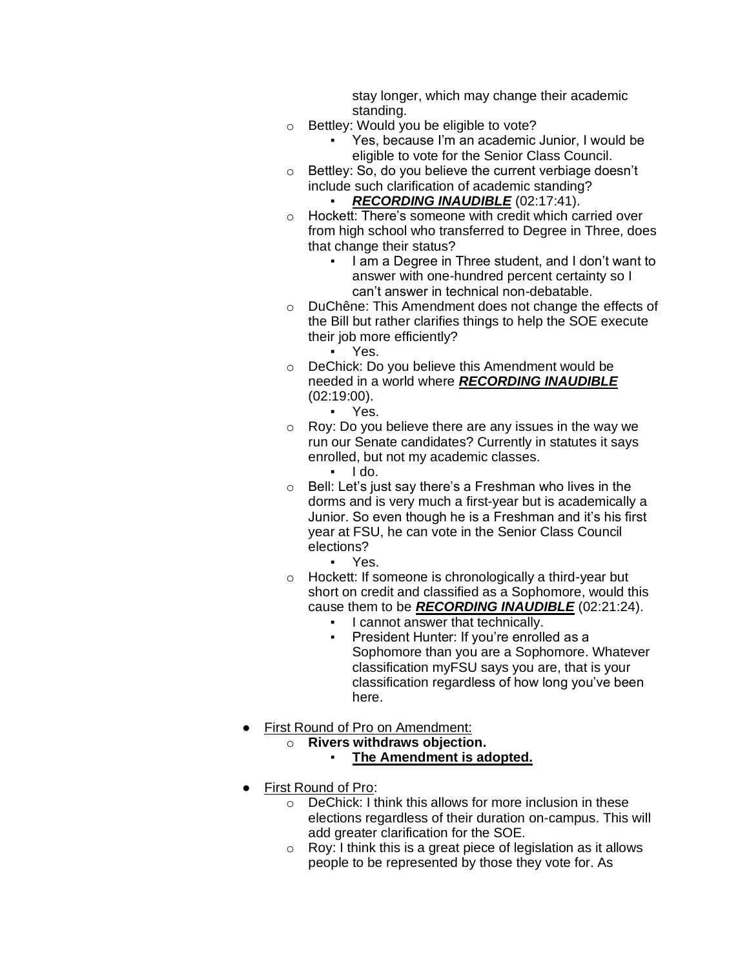stay longer, which may change their academic standing.

- o Bettley: Would you be eligible to vote?
	- Yes, because I'm an academic Junior, I would be eligible to vote for the Senior Class Council.
- o Bettley: So, do you believe the current verbiage doesn't include such clarification of academic standing? RECORDING INAUDIBLE (02:17:41).
- o Hockett: There's someone with credit which carried over from high school who transferred to Degree in Three, does that change their status?
	- I am a Degree in Three student, and I don't want to answer with one-hundred percent certainty so I can't answer in technical non-debatable.
- o DuChêne: This Amendment does not change the effects of the Bill but rather clarifies things to help the SOE execute their job more efficiently?
	- Yes.
- o DeChick: Do you believe this Amendment would be needed in a world where *RECORDING INAUDIBLE*  (02:19:00).
	- Yes.
- o Roy: Do you believe there are any issues in the way we run our Senate candidates? Currently in statutes it says enrolled, but not my academic classes.
	- $\blacksquare$   $\blacksquare$   $\blacksquare$   $\blacksquare$
- $\circ$  Bell: Let's just say there's a Freshman who lives in the dorms and is very much a first-year but is academically a Junior. So even though he is a Freshman and it's his first year at FSU, he can vote in the Senior Class Council elections?
	- Yes.
- o Hockett: If someone is chronologically a third-year but short on credit and classified as a Sophomore, would this cause them to be *RECORDING INAUDIBLE* (02:21:24).
	- I cannot answer that technically.
	- President Hunter: If you're enrolled as a Sophomore than you are a Sophomore. Whatever classification myFSU says you are, that is your classification regardless of how long you've been here.
- **First Round of Pro on Amendment:** 
	- o **Rivers withdraws objection.**
		- **The Amendment is adopted.**
- **First Round of Pro:** 
	- o DeChick: I think this allows for more inclusion in these elections regardless of their duration on-campus. This will add greater clarification for the SOE.
	- $\circ$  Roy: I think this is a great piece of legislation as it allows people to be represented by those they vote for. As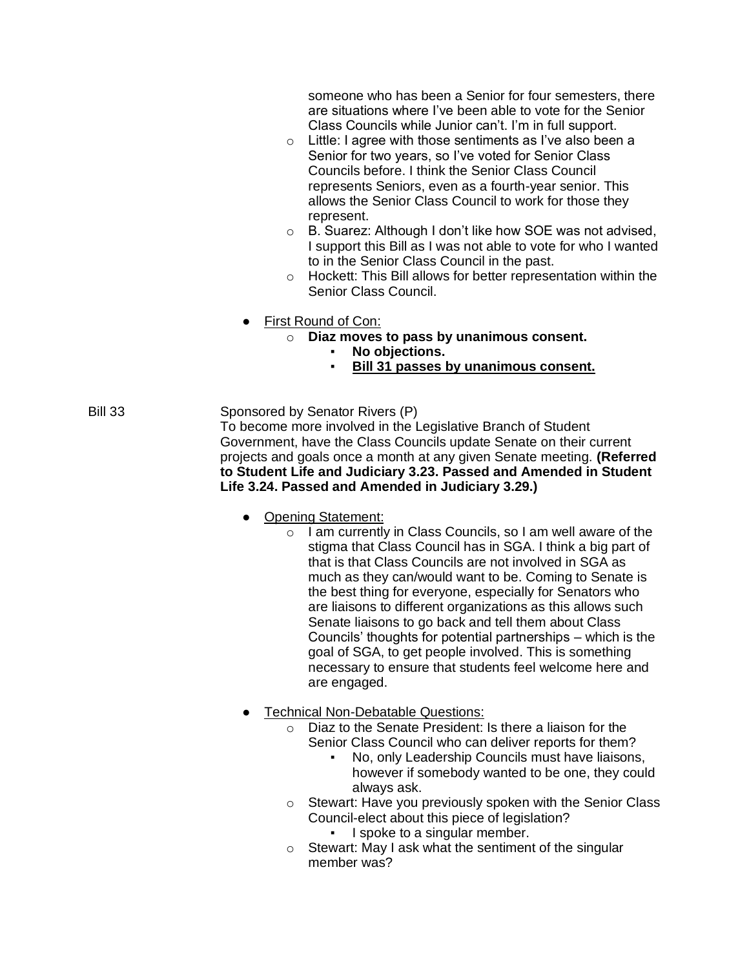someone who has been a Senior for four semesters, there are situations where I've been able to vote for the Senior Class Councils while Junior can't. I'm in full support.

- o Little: I agree with those sentiments as I've also been a Senior for two years, so I've voted for Senior Class Councils before. I think the Senior Class Council represents Seniors, even as a fourth-year senior. This allows the Senior Class Council to work for those they represent.
- o B. Suarez: Although I don't like how SOE was not advised, I support this Bill as I was not able to vote for who I wanted to in the Senior Class Council in the past.
- o Hockett: This Bill allows for better representation within the Senior Class Council.
- First Round of Con:
	- o **Diaz moves to pass by unanimous consent.**
		- **No objections.**
		- **Bill 31 passes by unanimous consent.**

Bill 33 Sponsored by Senator Rivers (P) To become more involved in the Legislative Branch of Student Government, have the Class Councils update Senate on their current projects and goals once a month at any given Senate meeting. **(Referred to Student Life and Judiciary 3.23. Passed and Amended in Student Life 3.24. Passed and Amended in Judiciary 3.29.)**

- Opening Statement:
	- o I am currently in Class Councils, so I am well aware of the stigma that Class Council has in SGA. I think a big part of that is that Class Councils are not involved in SGA as much as they can/would want to be. Coming to Senate is the best thing for everyone, especially for Senators who are liaisons to different organizations as this allows such Senate liaisons to go back and tell them about Class Councils' thoughts for potential partnerships – which is the goal of SGA, to get people involved. This is something necessary to ensure that students feel welcome here and are engaged.
- Technical Non-Debatable Questions:
	- o Diaz to the Senate President: Is there a liaison for the Senior Class Council who can deliver reports for them?
		- No, only Leadership Councils must have liaisons, however if somebody wanted to be one, they could always ask.
	- o Stewart: Have you previously spoken with the Senior Class Council-elect about this piece of legislation?
		- I spoke to a singular member.
	- o Stewart: May I ask what the sentiment of the singular member was?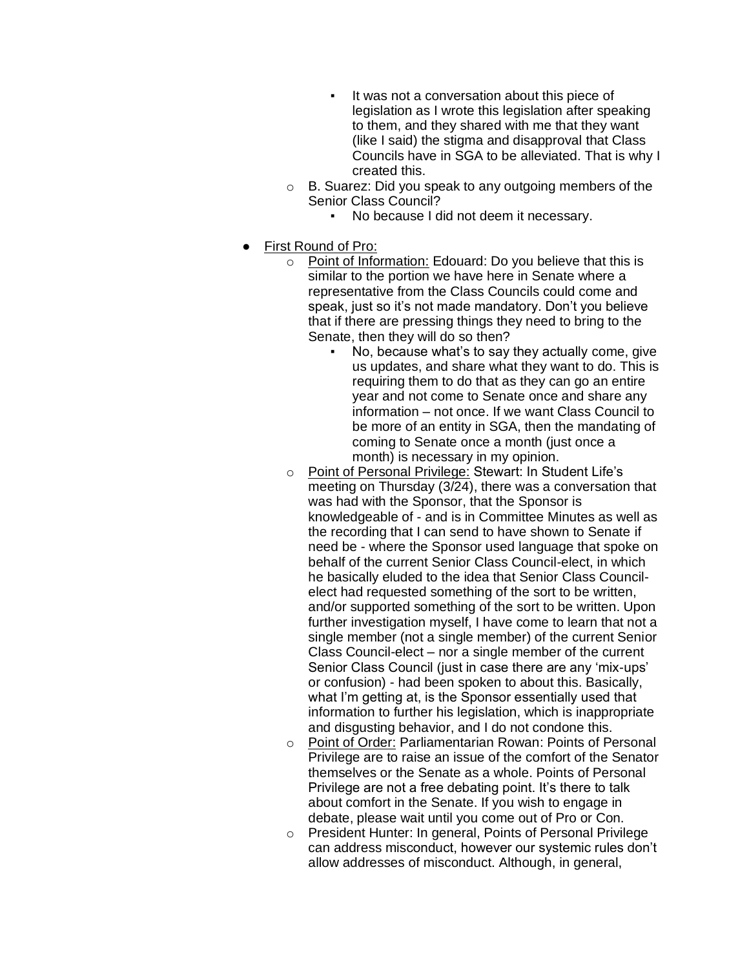- It was not a conversation about this piece of legislation as I wrote this legislation after speaking to them, and they shared with me that they want (like I said) the stigma and disapproval that Class Councils have in SGA to be alleviated. That is why I created this.
- o B. Suarez: Did you speak to any outgoing members of the Senior Class Council?
	- No because I did not deem it necessary.
- First Round of Pro:
	- o Point of Information: Edouard: Do you believe that this is similar to the portion we have here in Senate where a representative from the Class Councils could come and speak, just so it's not made mandatory. Don't you believe that if there are pressing things they need to bring to the Senate, then they will do so then?
		- No, because what's to say they actually come, give us updates, and share what they want to do. This is requiring them to do that as they can go an entire year and not come to Senate once and share any information – not once. If we want Class Council to be more of an entity in SGA, then the mandating of coming to Senate once a month (just once a month) is necessary in my opinion.
	- o Point of Personal Privilege: Stewart: In Student Life's meeting on Thursday (3/24), there was a conversation that was had with the Sponsor, that the Sponsor is knowledgeable of - and is in Committee Minutes as well as the recording that I can send to have shown to Senate if need be - where the Sponsor used language that spoke on behalf of the current Senior Class Council-elect, in which he basically eluded to the idea that Senior Class Councilelect had requested something of the sort to be written, and/or supported something of the sort to be written. Upon further investigation myself, I have come to learn that not a single member (not a single member) of the current Senior Class Council-elect – nor a single member of the current Senior Class Council (just in case there are any 'mix-ups' or confusion) - had been spoken to about this. Basically, what I'm getting at, is the Sponsor essentially used that information to further his legislation, which is inappropriate and disgusting behavior, and I do not condone this.
	- o Point of Order: Parliamentarian Rowan: Points of Personal Privilege are to raise an issue of the comfort of the Senator themselves or the Senate as a whole. Points of Personal Privilege are not a free debating point. It's there to talk about comfort in the Senate. If you wish to engage in debate, please wait until you come out of Pro or Con.
	- o President Hunter: In general, Points of Personal Privilege can address misconduct, however our systemic rules don't allow addresses of misconduct. Although, in general,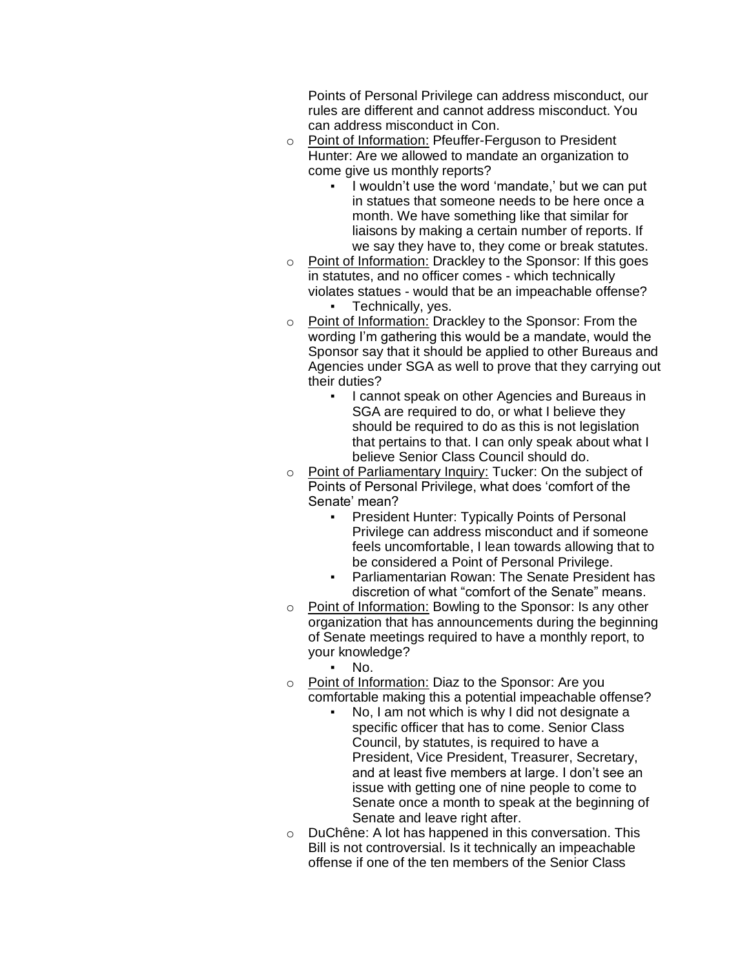Points of Personal Privilege can address misconduct, our rules are different and cannot address misconduct. You can address misconduct in Con.

- o Point of Information: Pfeuffer-Ferguson to President Hunter: Are we allowed to mandate an organization to come give us monthly reports?
	- I wouldn't use the word 'mandate,' but we can put in statues that someone needs to be here once a month. We have something like that similar for liaisons by making a certain number of reports. If we say they have to, they come or break statutes.
- o Point of Information: Drackley to the Sponsor: If this goes in statutes, and no officer comes - which technically violates statues - would that be an impeachable offense? Technically, yes.
- o Point of Information: Drackley to the Sponsor: From the wording I'm gathering this would be a mandate, would the Sponsor say that it should be applied to other Bureaus and Agencies under SGA as well to prove that they carrying out their duties?
	- I cannot speak on other Agencies and Bureaus in SGA are required to do, or what I believe they should be required to do as this is not legislation that pertains to that. I can only speak about what I believe Senior Class Council should do.
- o Point of Parliamentary Inquiry: Tucker: On the subject of Points of Personal Privilege, what does 'comfort of the Senate' mean?
	- President Hunter: Typically Points of Personal Privilege can address misconduct and if someone feels uncomfortable, I lean towards allowing that to be considered a Point of Personal Privilege.
	- Parliamentarian Rowan: The Senate President has discretion of what "comfort of the Senate" means.
- o Point of Information: Bowling to the Sponsor: Is any other organization that has announcements during the beginning of Senate meetings required to have a monthly report, to your knowledge?
	- No.
- o Point of Information: Diaz to the Sponsor: Are you comfortable making this a potential impeachable offense?
	- No, I am not which is why I did not designate a specific officer that has to come. Senior Class Council, by statutes, is required to have a President, Vice President, Treasurer, Secretary, and at least five members at large. I don't see an issue with getting one of nine people to come to Senate once a month to speak at the beginning of Senate and leave right after.
- o DuChêne: A lot has happened in this conversation. This Bill is not controversial. Is it technically an impeachable offense if one of the ten members of the Senior Class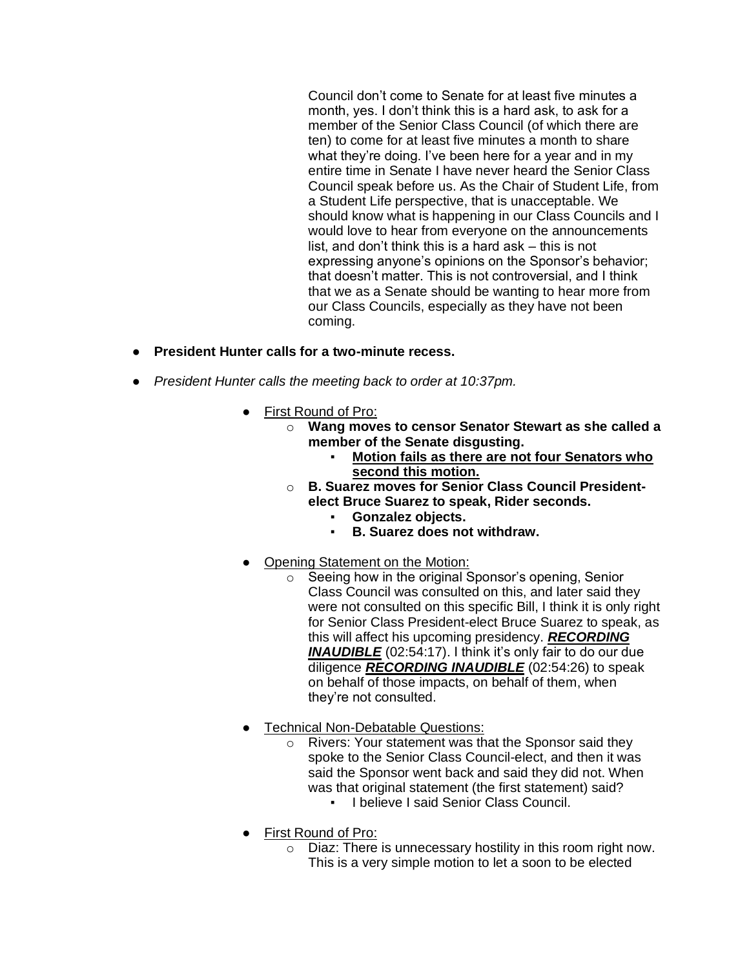Council don't come to Senate for at least five minutes a month, yes. I don't think this is a hard ask, to ask for a member of the Senior Class Council (of which there are ten) to come for at least five minutes a month to share what they're doing. I've been here for a year and in my entire time in Senate I have never heard the Senior Class Council speak before us. As the Chair of Student Life, from a Student Life perspective, that is unacceptable. We should know what is happening in our Class Councils and I would love to hear from everyone on the announcements list, and don't think this is a hard ask – this is not expressing anyone's opinions on the Sponsor's behavior; that doesn't matter. This is not controversial, and I think that we as a Senate should be wanting to hear more from our Class Councils, especially as they have not been coming.

- **President Hunter calls for a two-minute recess.**
- *President Hunter calls the meeting back to order at 10:37pm.*
	- First Round of Pro:
		- o **Wang moves to censor Senator Stewart as she called a member of the Senate disgusting.**
			- **Motion fails as there are not four Senators who second this motion.**
		- o **B. Suarez moves for Senior Class Council Presidentelect Bruce Suarez to speak, Rider seconds.**
			- **Gonzalez objects.**
			- **B. Suarez does not withdraw.**
		- Opening Statement on the Motion:
			- $\circ$  Seeing how in the original Sponsor's opening, Senior Class Council was consulted on this, and later said they were not consulted on this specific Bill, I think it is only right for Senior Class President-elect Bruce Suarez to speak, as this will affect his upcoming presidency. *RECORDING*  **INAUDIBLE** (02:54:17). I think it's only fair to do our due diligence *RECORDING INAUDIBLE* (02:54:26) to speak on behalf of those impacts, on behalf of them, when they're not consulted.
	- Technical Non-Debatable Questions:
		- o Rivers: Your statement was that the Sponsor said they spoke to the Senior Class Council-elect, and then it was said the Sponsor went back and said they did not. When was that original statement (the first statement) said?
			- I believe I said Senior Class Council.
	- First Round of Pro:
		- o Diaz: There is unnecessary hostility in this room right now. This is a very simple motion to let a soon to be elected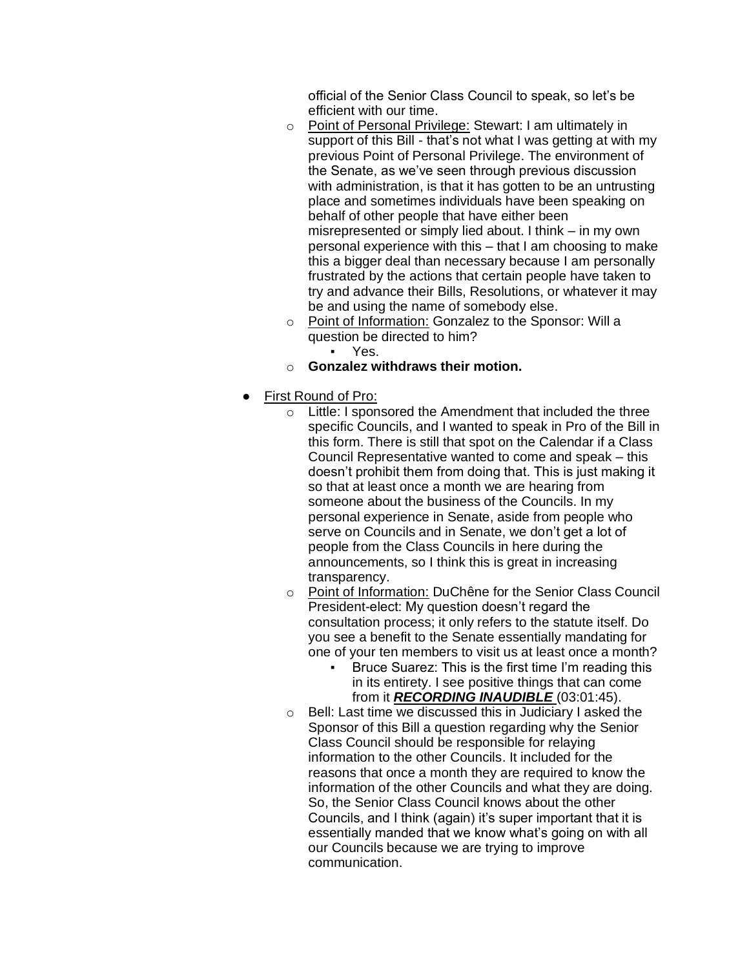official of the Senior Class Council to speak, so let's be efficient with our time.

- o Point of Personal Privilege: Stewart: I am ultimately in support of this Bill - that's not what I was getting at with my previous Point of Personal Privilege. The environment of the Senate, as we've seen through previous discussion with administration, is that it has gotten to be an untrusting place and sometimes individuals have been speaking on behalf of other people that have either been misrepresented or simply lied about. I think – in my own personal experience with this – that I am choosing to make this a bigger deal than necessary because I am personally frustrated by the actions that certain people have taken to try and advance their Bills, Resolutions, or whatever it may be and using the name of somebody else.
- o Point of Information: Gonzalez to the Sponsor: Will a question be directed to him?
	- Yes.
- o **Gonzalez withdraws their motion.**
- First Round of Pro:
	- o Little: I sponsored the Amendment that included the three specific Councils, and I wanted to speak in Pro of the Bill in this form. There is still that spot on the Calendar if a Class Council Representative wanted to come and speak – this doesn't prohibit them from doing that. This is just making it so that at least once a month we are hearing from someone about the business of the Councils. In my personal experience in Senate, aside from people who serve on Councils and in Senate, we don't get a lot of people from the Class Councils in here during the announcements, so I think this is great in increasing transparency.
	- o Point of Information: DuChêne for the Senior Class Council President-elect: My question doesn't regard the consultation process; it only refers to the statute itself. Do you see a benefit to the Senate essentially mandating for one of your ten members to visit us at least once a month?
		- Bruce Suarez: This is the first time I'm reading this in its entirety. I see positive things that can come from it *RECORDING INAUDIBLE* (03:01:45).
	- o Bell: Last time we discussed this in Judiciary I asked the Sponsor of this Bill a question regarding why the Senior Class Council should be responsible for relaying information to the other Councils. It included for the reasons that once a month they are required to know the information of the other Councils and what they are doing. So, the Senior Class Council knows about the other Councils, and I think (again) it's super important that it is essentially manded that we know what's going on with all our Councils because we are trying to improve communication.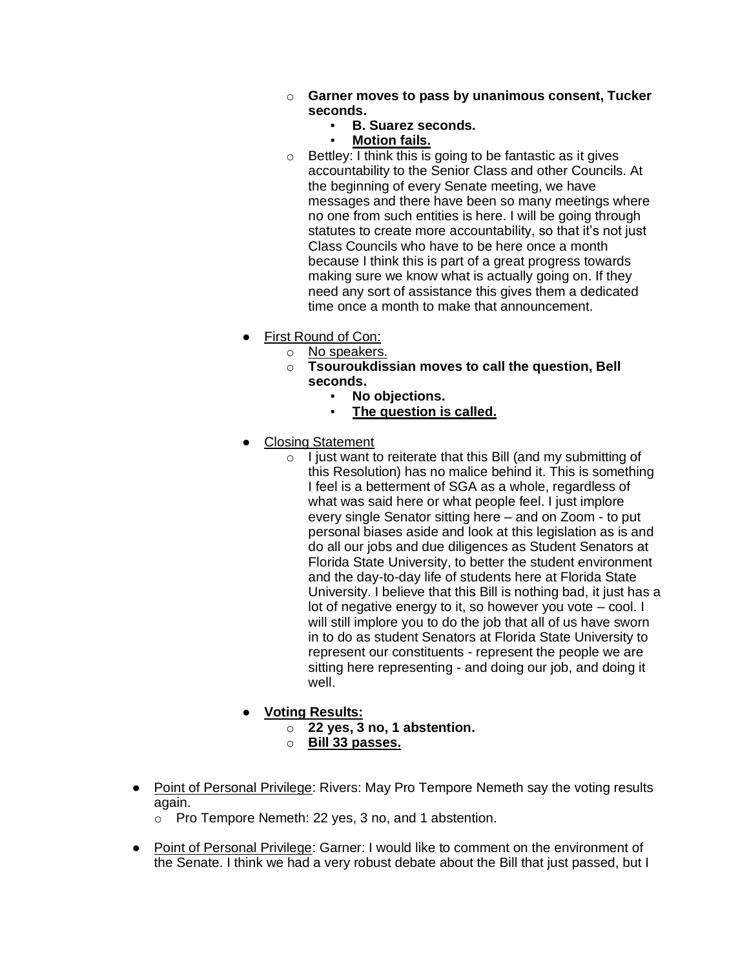- o **Garner moves to pass by unanimous consent, Tucker seconds.**
	- **B. Suarez seconds.**
	- **Motion fails.**
- $\circ$  Bettley: I think this is going to be fantastic as it gives accountability to the Senior Class and other Councils. At the beginning of every Senate meeting, we have messages and there have been so many meetings where no one from such entities is here. I will be going through statutes to create more accountability, so that it's not just Class Councils who have to be here once a month because I think this is part of a great progress towards making sure we know what is actually going on. If they need any sort of assistance this gives them a dedicated time once a month to make that announcement.
- **First Round of Con:** 
	- o No speakers.
	- o **Tsouroukdissian moves to call the question, Bell seconds.**
		- **No objections.**
			- **The question is called.**
- **Closing Statement** 
	- $\circ$  I just want to reiterate that this Bill (and my submitting of this Resolution) has no malice behind it. This is something I feel is a betterment of SGA as a whole, regardless of what was said here or what people feel. I just implore every single Senator sitting here – and on Zoom - to put personal biases aside and look at this legislation as is and do all our jobs and due diligences as Student Senators at Florida State University, to better the student environment and the day-to-day life of students here at Florida State University. I believe that this Bill is nothing bad, it just has a lot of negative energy to it, so however you vote – cool. I will still implore you to do the job that all of us have sworn in to do as student Senators at Florida State University to represent our constituents - represent the people we are sitting here representing - and doing our job, and doing it well.
- **Voting Results:**
	- o **22 yes, 3 no, 1 abstention.**
	- o **Bill 33 passes.**
- Point of Personal Privilege: Rivers: May Pro Tempore Nemeth say the voting results again.
	- o Pro Tempore Nemeth: 22 yes, 3 no, and 1 abstention.
- Point of Personal Privilege: Garner: I would like to comment on the environment of the Senate. I think we had a very robust debate about the Bill that just passed, but I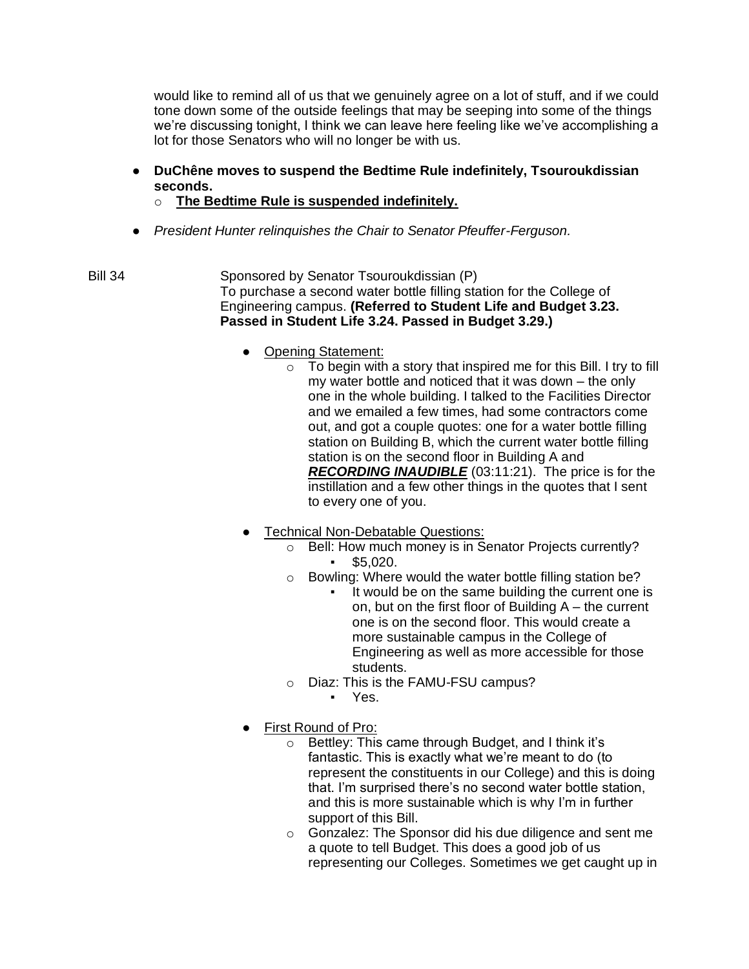would like to remind all of us that we genuinely agree on a lot of stuff, and if we could tone down some of the outside feelings that may be seeping into some of the things we're discussing tonight, I think we can leave here feeling like we've accomplishing a lot for those Senators who will no longer be with us.

- **DuChêne moves to suspend the Bedtime Rule indefinitely, Tsouroukdissian seconds.**
	- o **The Bedtime Rule is suspended indefinitely.**
- *President Hunter relinquishes the Chair to Senator Pfeuffer-Ferguson.*
- Bill 34 Sponsored by Senator Tsouroukdissian (P) To purchase a second water bottle filling station for the College of Engineering campus. **(Referred to Student Life and Budget 3.23. Passed in Student Life 3.24. Passed in Budget 3.29.)**
	- Opening Statement:
		- $\circ$  To begin with a story that inspired me for this Bill. I try to fill my water bottle and noticed that it was down – the only one in the whole building. I talked to the Facilities Director and we emailed a few times, had some contractors come out, and got a couple quotes: one for a water bottle filling station on Building B, which the current water bottle filling station is on the second floor in Building A and *RECORDING INAUDIBLE* (03:11:21). The price is for the instillation and a few other things in the quotes that I sent to every one of you.
	- Technical Non-Debatable Questions:
		- o Bell: How much money is in Senator Projects currently?  $$5,020.$
		- o Bowling: Where would the water bottle filling station be?
			- It would be on the same building the current one is on, but on the first floor of Building A – the current one is on the second floor. This would create a more sustainable campus in the College of Engineering as well as more accessible for those students.
		- o Diaz: This is the FAMU-FSU campus?
			- Yes.
	- First Round of Pro:
		- o Bettley: This came through Budget, and I think it's fantastic. This is exactly what we're meant to do (to represent the constituents in our College) and this is doing that. I'm surprised there's no second water bottle station, and this is more sustainable which is why I'm in further support of this Bill.
		- o Gonzalez: The Sponsor did his due diligence and sent me a quote to tell Budget. This does a good job of us representing our Colleges. Sometimes we get caught up in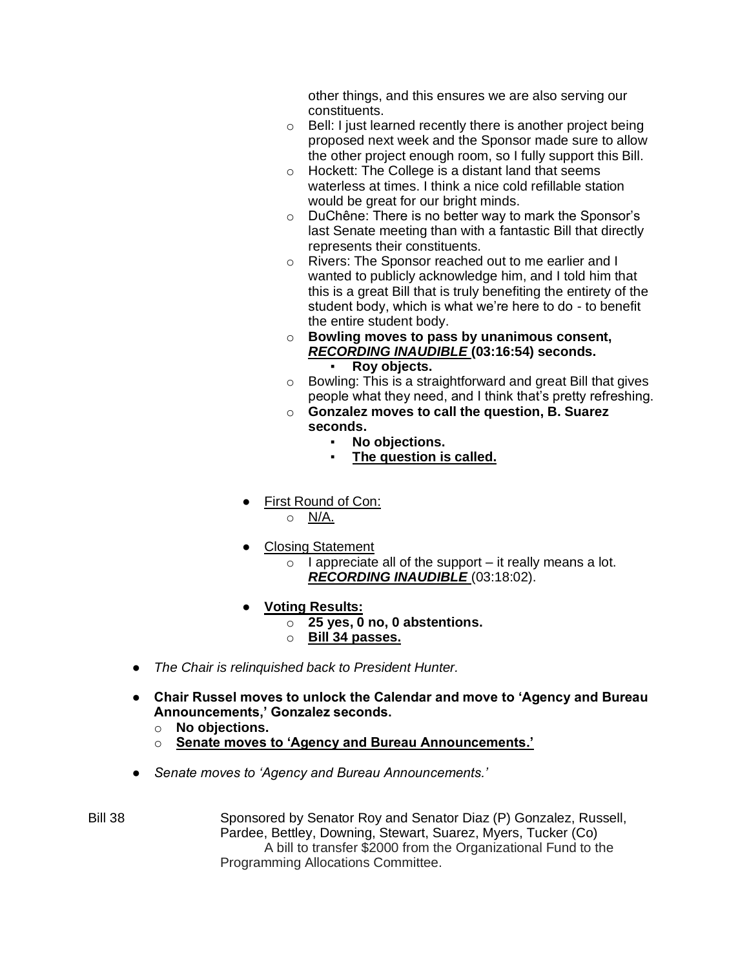other things, and this ensures we are also serving our constituents.

- o Bell: I just learned recently there is another project being proposed next week and the Sponsor made sure to allow the other project enough room, so I fully support this Bill.
- $\circ$  Hockett: The College is a distant land that seems waterless at times. I think a nice cold refillable station would be great for our bright minds.
- o DuChêne: There is no better way to mark the Sponsor's last Senate meeting than with a fantastic Bill that directly represents their constituents.
- o Rivers: The Sponsor reached out to me earlier and I wanted to publicly acknowledge him, and I told him that this is a great Bill that is truly benefiting the entirety of the student body, which is what we're here to do - to benefit the entire student body.
- o **Bowling moves to pass by unanimous consent,**  *RECORDING INAUDIBLE* **(03:16:54) seconds.** ▪ **Roy objects.**
- o Bowling: This is a straightforward and great Bill that gives people what they need, and I think that's pretty refreshing.
- o **Gonzalez moves to call the question, B. Suarez seconds.**
	- **No objections.**
	- **The question is called.**
- First Round of Con:

o N/A.

- **Closing Statement** 
	- $\circ$  I appreciate all of the support it really means a lot. *RECORDING INAUDIBLE* (03:18:02).
- **Voting Results:**
	- o **25 yes, 0 no, 0 abstentions.**
	- o **Bill 34 passes.**
- *The Chair is relinquished back to President Hunter.*
- **Chair Russel moves to unlock the Calendar and move to 'Agency and Bureau Announcements,' Gonzalez seconds.**
	- o **No objections.**
	- o **Senate moves to 'Agency and Bureau Announcements.'**
- *Senate moves to 'Agency and Bureau Announcements.'*
- Bill 38 Sponsored by Senator Roy and Senator Diaz (P) Gonzalez, Russell, Pardee, Bettley, Downing, Stewart, Suarez, Myers, Tucker (Co) A bill to transfer \$2000 from the Organizational Fund to the Programming Allocations Committee.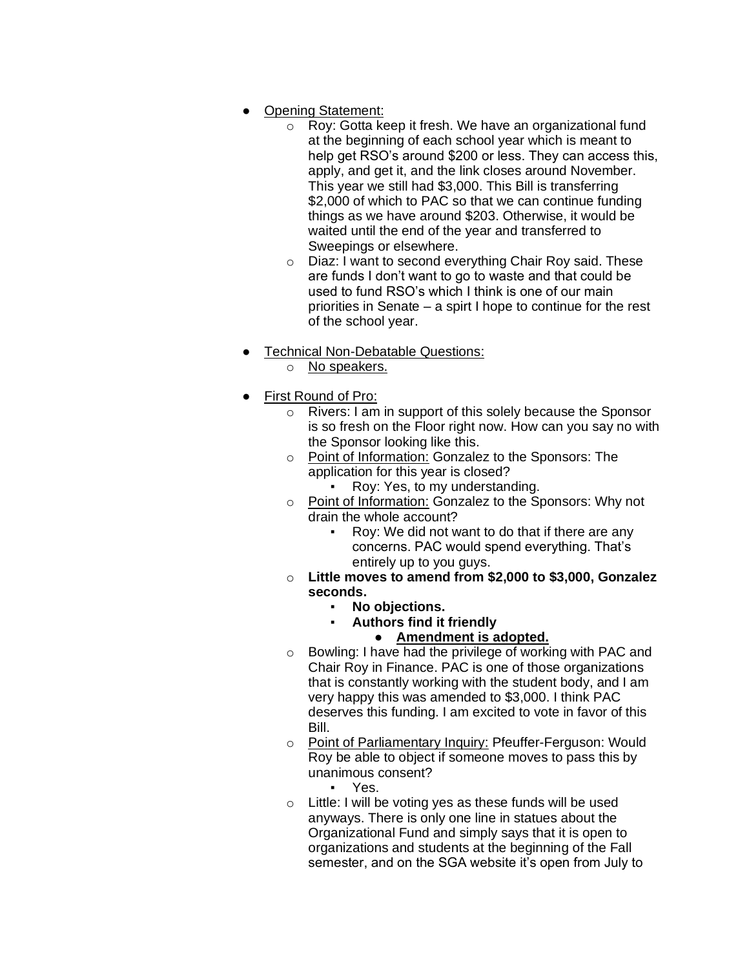- **Opening Statement:** 
	- o Roy: Gotta keep it fresh. We have an organizational fund at the beginning of each school year which is meant to help get RSO's around \$200 or less. They can access this, apply, and get it, and the link closes around November. This year we still had \$3,000. This Bill is transferring \$2,000 of which to PAC so that we can continue funding things as we have around \$203. Otherwise, it would be waited until the end of the year and transferred to Sweepings or elsewhere.
	- o Diaz: I want to second everything Chair Roy said. These are funds I don't want to go to waste and that could be used to fund RSO's which I think is one of our main priorities in Senate – a spirt I hope to continue for the rest of the school year.
- Technical Non-Debatable Questions:
	- o No speakers.
- First Round of Pro:
	- o Rivers: I am in support of this solely because the Sponsor is so fresh on the Floor right now. How can you say no with the Sponsor looking like this.
	- o Point of Information: Gonzalez to the Sponsors: The application for this year is closed?
		- Roy: Yes, to my understanding.
	- o Point of Information: Gonzalez to the Sponsors: Why not drain the whole account?
		- Roy: We did not want to do that if there are any concerns. PAC would spend everything. That's entirely up to you guys.
	- o **Little moves to amend from \$2,000 to \$3,000, Gonzalez seconds.**
		- **No objections.**
			- **Authors find it friendly** 
				- **Amendment is adopted.**
	- o Bowling: I have had the privilege of working with PAC and Chair Roy in Finance. PAC is one of those organizations that is constantly working with the student body, and I am very happy this was amended to \$3,000. I think PAC deserves this funding. I am excited to vote in favor of this Bill.
	- o Point of Parliamentary Inquiry: Pfeuffer-Ferguson: Would Roy be able to object if someone moves to pass this by unanimous consent?
		- Yes.
	- $\circ$  Little: I will be voting yes as these funds will be used anyways. There is only one line in statues about the Organizational Fund and simply says that it is open to organizations and students at the beginning of the Fall semester, and on the SGA website it's open from July to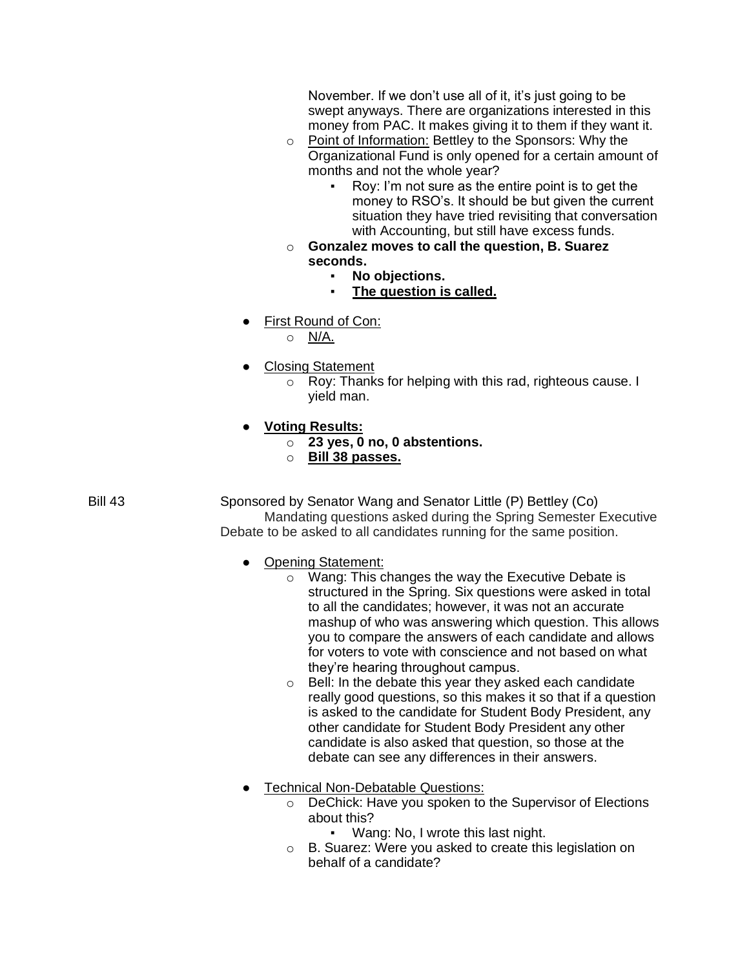November. If we don't use all of it, it's just going to be swept anyways. There are organizations interested in this money from PAC. It makes giving it to them if they want it.

- o Point of Information: Bettley to the Sponsors: Why the Organizational Fund is only opened for a certain amount of months and not the whole year?
	- Roy: I'm not sure as the entire point is to get the money to RSO's. It should be but given the current situation they have tried revisiting that conversation with Accounting, but still have excess funds.
- o **Gonzalez moves to call the question, B. Suarez seconds.**
	- No objections.
		- **The question is called.**
- First Round of Con:
	- o N/A.
- **Closing Statement** 
	- o Roy: Thanks for helping with this rad, righteous cause. I yield man.
- **Voting Results:**
	- o **23 yes, 0 no, 0 abstentions.**
		- o **Bill 38 passes.**

Bill 43 Sponsored by Senator Wang and Senator Little (P) Bettley (Co) Mandating questions asked during the Spring Semester Executive Debate to be asked to all candidates running for the same position.

- Opening Statement:
	- o Wang: This changes the way the Executive Debate is structured in the Spring. Six questions were asked in total to all the candidates; however, it was not an accurate mashup of who was answering which question. This allows you to compare the answers of each candidate and allows for voters to vote with conscience and not based on what they're hearing throughout campus.
	- o Bell: In the debate this year they asked each candidate really good questions, so this makes it so that if a question is asked to the candidate for Student Body President, any other candidate for Student Body President any other candidate is also asked that question, so those at the debate can see any differences in their answers.
- Technical Non-Debatable Questions:
	- o DeChick: Have you spoken to the Supervisor of Elections about this?
		- Wang: No, I wrote this last night.
	- o B. Suarez: Were you asked to create this legislation on behalf of a candidate?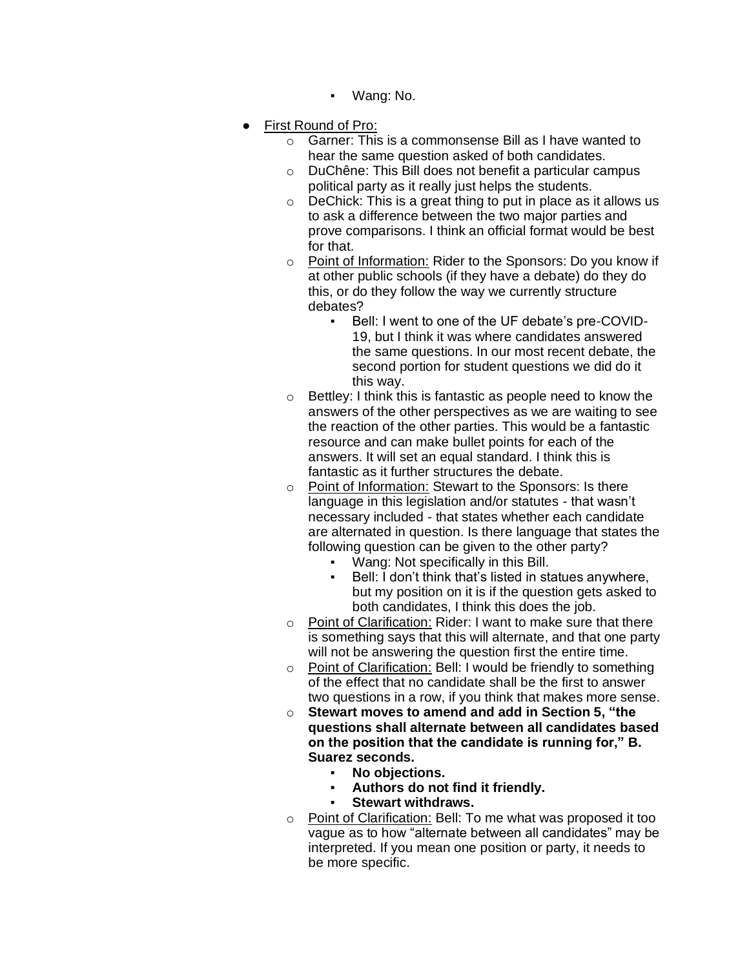- Wang: No.
- **First Round of Pro:** 
	- o Garner: This is a commonsense Bill as I have wanted to hear the same question asked of both candidates.
	- o DuChêne: This Bill does not benefit a particular campus political party as it really just helps the students.
	- $\circ$  DeChick: This is a great thing to put in place as it allows us to ask a difference between the two major parties and prove comparisons. I think an official format would be best for that.
	- o Point of Information: Rider to the Sponsors: Do you know if at other public schools (if they have a debate) do they do this, or do they follow the way we currently structure debates?
		- Bell: I went to one of the UF debate's pre-COVID-19, but I think it was where candidates answered the same questions. In our most recent debate, the second portion for student questions we did do it this way.
	- o Bettley: I think this is fantastic as people need to know the answers of the other perspectives as we are waiting to see the reaction of the other parties. This would be a fantastic resource and can make bullet points for each of the answers. It will set an equal standard. I think this is fantastic as it further structures the debate.
	- o Point of Information: Stewart to the Sponsors: Is there language in this legislation and/or statutes - that wasn't necessary included - that states whether each candidate are alternated in question. Is there language that states the following question can be given to the other party?
		- Wang: Not specifically in this Bill.
		- Bell: I don't think that's listed in statues anywhere, but my position on it is if the question gets asked to both candidates, I think this does the job.
	- o Point of Clarification: Rider: I want to make sure that there is something says that this will alternate, and that one party will not be answering the question first the entire time.
	- o Point of Clarification: Bell: I would be friendly to something of the effect that no candidate shall be the first to answer two questions in a row, if you think that makes more sense.
	- o **Stewart moves to amend and add in Section 5, "the questions shall alternate between all candidates based on the position that the candidate is running for," B. Suarez seconds.**
		- **No objections.**
		- Authors do not find it friendly.
		- **Stewart withdraws.**
	- o Point of Clarification: Bell: To me what was proposed it too vague as to how "alternate between all candidates" may be interpreted. If you mean one position or party, it needs to be more specific.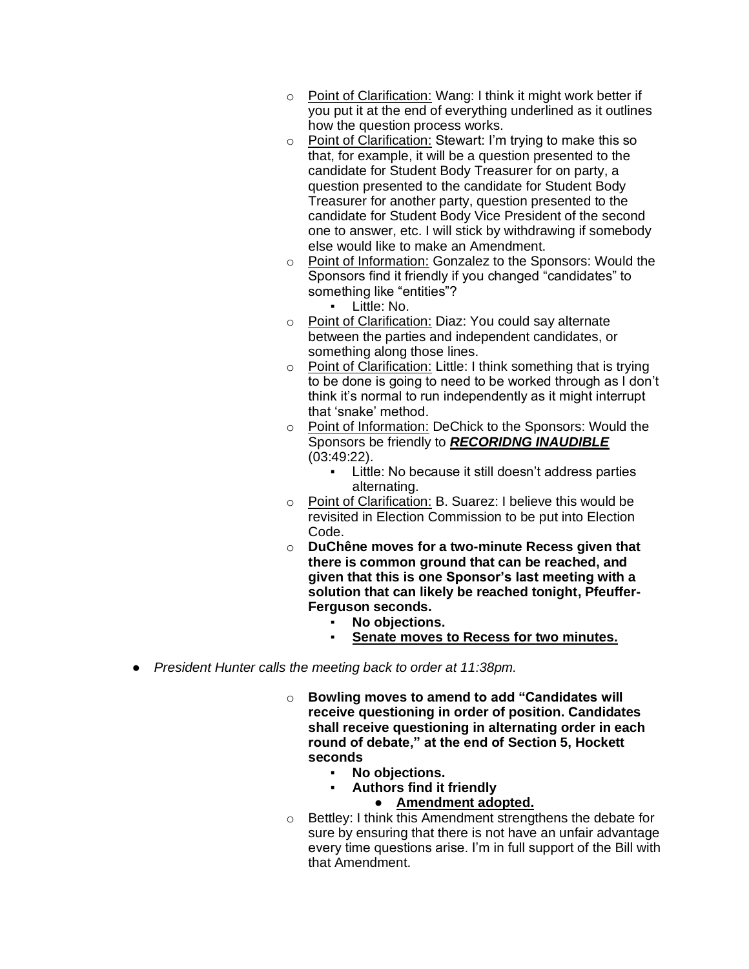- o Point of Clarification: Wang: I think it might work better if you put it at the end of everything underlined as it outlines how the question process works.
- o Point of Clarification: Stewart: I'm trying to make this so that, for example, it will be a question presented to the candidate for Student Body Treasurer for on party, a question presented to the candidate for Student Body Treasurer for another party, question presented to the candidate for Student Body Vice President of the second one to answer, etc. I will stick by withdrawing if somebody else would like to make an Amendment.
- o Point of Information: Gonzalez to the Sponsors: Would the Sponsors find it friendly if you changed "candidates" to something like "entities"?
	- Little: No.
- o Point of Clarification: Diaz: You could say alternate between the parties and independent candidates, or something along those lines.
- o Point of Clarification: Little: I think something that is trying to be done is going to need to be worked through as I don't think it's normal to run independently as it might interrupt that 'snake' method.
- o Point of Information: DeChick to the Sponsors: Would the Sponsors be friendly to *RECORIDNG INAUDIBLE*  (03:49:22).
	- Little: No because it still doesn't address parties alternating.
- o Point of Clarification: B. Suarez: I believe this would be revisited in Election Commission to be put into Election Code.
- o **DuChêne moves for a two-minute Recess given that there is common ground that can be reached, and given that this is one Sponsor's last meeting with a solution that can likely be reached tonight, Pfeuffer-Ferguson seconds.**
	- No objections.
	- **Senate moves to Recess for two minutes.**
- *President Hunter calls the meeting back to order at 11:38pm.*
	- o **Bowling moves to amend to add "Candidates will receive questioning in order of position. Candidates shall receive questioning in alternating order in each round of debate," at the end of Section 5, Hockett seconds**
		- No objections.
		- **Authors find it friendly** 
			- **Amendment adopted.**
	- o Bettley: I think this Amendment strengthens the debate for sure by ensuring that there is not have an unfair advantage every time questions arise. I'm in full support of the Bill with that Amendment.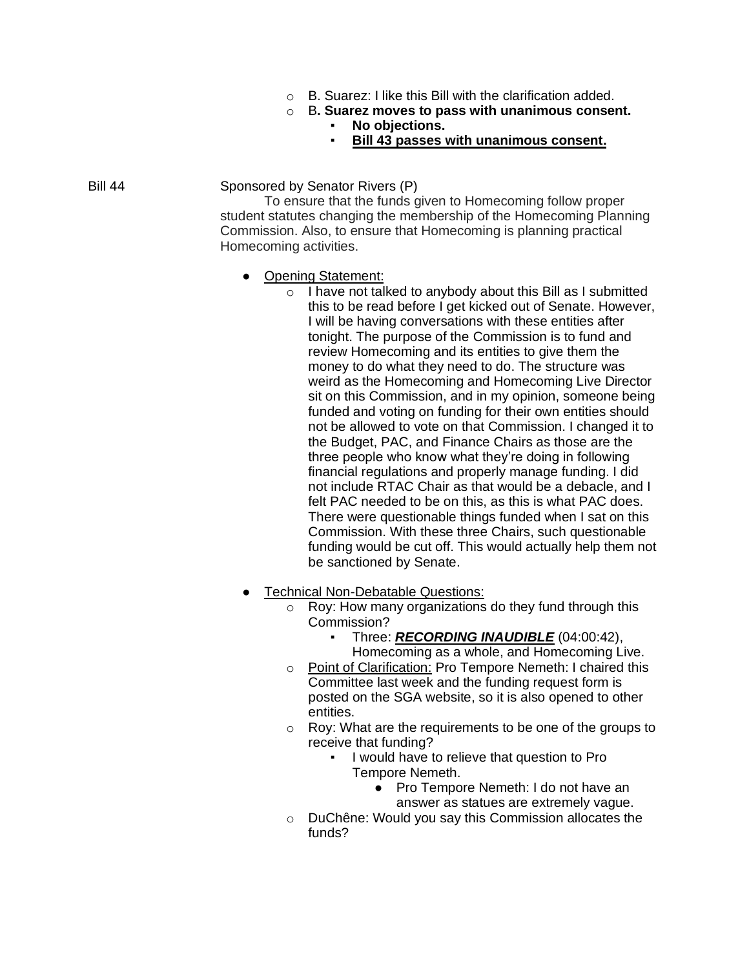- o B. Suarez: I like this Bill with the clarification added.
- o B**. Suarez moves to pass with unanimous consent.**
	- No objections.
	- **Bill 43 passes with unanimous consent.**

Bill 44 Sponsored by Senator Rivers (P)

To ensure that the funds given to Homecoming follow proper student statutes changing the membership of the Homecoming Planning Commission. Also, to ensure that Homecoming is planning practical Homecoming activities.

- Opening Statement:
	- $\circ$  I have not talked to anybody about this Bill as I submitted this to be read before I get kicked out of Senate. However, I will be having conversations with these entities after tonight. The purpose of the Commission is to fund and review Homecoming and its entities to give them the money to do what they need to do. The structure was weird as the Homecoming and Homecoming Live Director sit on this Commission, and in my opinion, someone being funded and voting on funding for their own entities should not be allowed to vote on that Commission. I changed it to the Budget, PAC, and Finance Chairs as those are the three people who know what they're doing in following financial regulations and properly manage funding. I did not include RTAC Chair as that would be a debacle, and I felt PAC needed to be on this, as this is what PAC does. There were questionable things funded when I sat on this Commission. With these three Chairs, such questionable funding would be cut off. This would actually help them not be sanctioned by Senate.
- Technical Non-Debatable Questions:
	- o Roy: How many organizations do they fund through this Commission?
		- Three: *RECORDING INAUDIBLE* (04:00:42),
		- Homecoming as a whole, and Homecoming Live.
	- o Point of Clarification: Pro Tempore Nemeth: I chaired this Committee last week and the funding request form is posted on the SGA website, so it is also opened to other entities.
	- o Roy: What are the requirements to be one of the groups to receive that funding?
		- I would have to relieve that question to Pro Tempore Nemeth.
			- Pro Tempore Nemeth: I do not have an answer as statues are extremely vague.
	- o DuChêne: Would you say this Commission allocates the funds?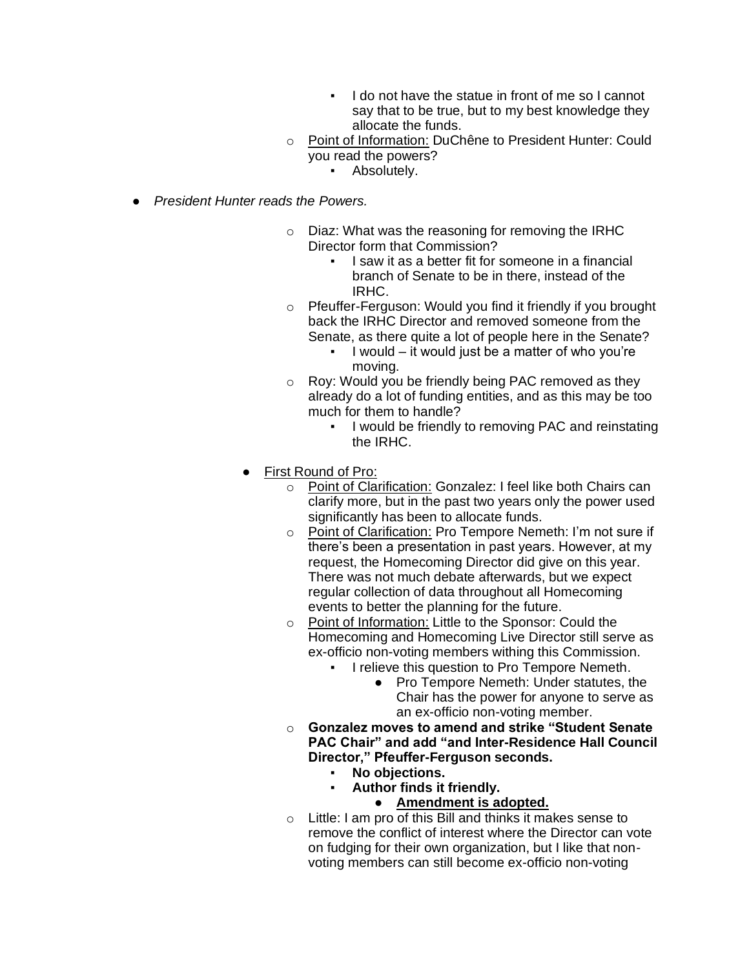- I do not have the statue in front of me so I cannot say that to be true, but to my best knowledge they allocate the funds.
- o Point of Information: DuChêne to President Hunter: Could you read the powers?
	- **•** Absolutely.
- *President Hunter reads the Powers.*
	- o Diaz: What was the reasoning for removing the IRHC Director form that Commission?
		- I saw it as a better fit for someone in a financial branch of Senate to be in there, instead of the IRHC.
	- o Pfeuffer-Ferguson: Would you find it friendly if you brought back the IRHC Director and removed someone from the Senate, as there quite a lot of people here in the Senate?
		- I would  $-$  it would just be a matter of who you're moving.
	- o Roy: Would you be friendly being PAC removed as they already do a lot of funding entities, and as this may be too much for them to handle?
		- I would be friendly to removing PAC and reinstating the IRHC.
	- First Round of Pro:
		- o Point of Clarification: Gonzalez: I feel like both Chairs can clarify more, but in the past two years only the power used significantly has been to allocate funds.
		- o Point of Clarification: Pro Tempore Nemeth: I'm not sure if there's been a presentation in past years. However, at my request, the Homecoming Director did give on this year. There was not much debate afterwards, but we expect regular collection of data throughout all Homecoming events to better the planning for the future.
		- o Point of Information: Little to the Sponsor: Could the Homecoming and Homecoming Live Director still serve as ex-officio non-voting members withing this Commission.
			- I relieve this question to Pro Tempore Nemeth.
				- Pro Tempore Nemeth: Under statutes, the Chair has the power for anyone to serve as an ex-officio non-voting member.
		- o **Gonzalez moves to amend and strike "Student Senate PAC Chair" and add "and Inter-Residence Hall Council Director," Pfeuffer-Ferguson seconds.**
			- **No objections.**
			- **Author finds it friendly.**
				- **Amendment is adopted.**
		- $\circ$  Little: I am pro of this Bill and thinks it makes sense to remove the conflict of interest where the Director can vote on fudging for their own organization, but I like that nonvoting members can still become ex-officio non-voting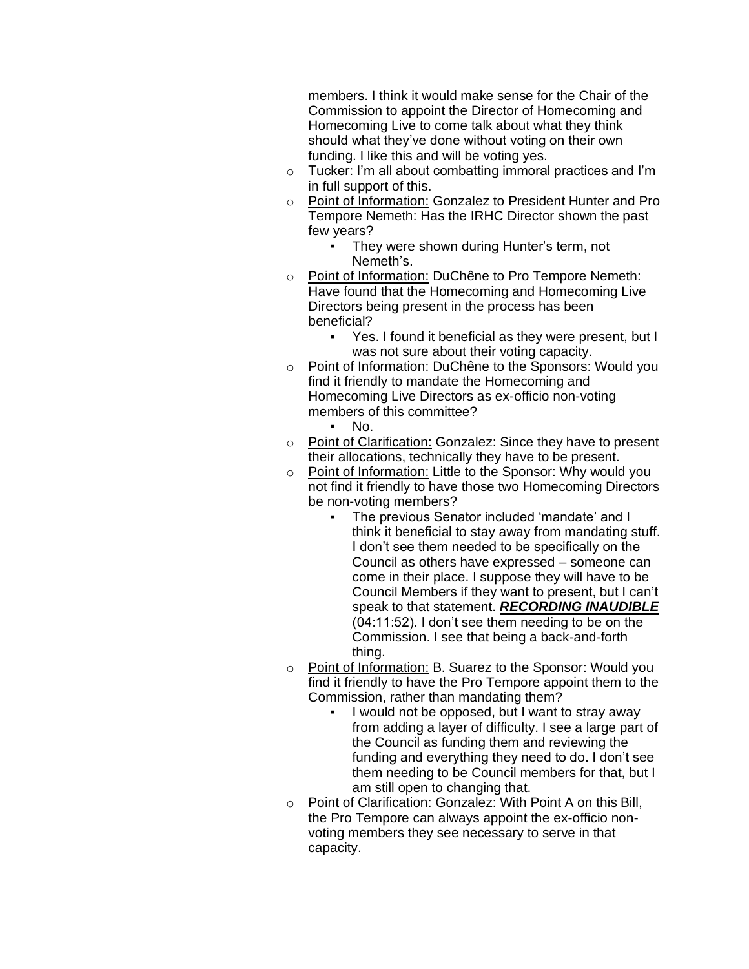members. I think it would make sense for the Chair of the Commission to appoint the Director of Homecoming and Homecoming Live to come talk about what they think should what they've done without voting on their own funding. I like this and will be voting yes.

- o Tucker: I'm all about combatting immoral practices and I'm in full support of this.
- o Point of Information: Gonzalez to President Hunter and Pro Tempore Nemeth: Has the IRHC Director shown the past few years?
	- They were shown during Hunter's term, not Nemeth's.
- o Point of Information: DuChêne to Pro Tempore Nemeth: Have found that the Homecoming and Homecoming Live Directors being present in the process has been beneficial?
	- Yes. I found it beneficial as they were present, but I was not sure about their voting capacity.
- o Point of Information: DuChêne to the Sponsors: Would you find it friendly to mandate the Homecoming and Homecoming Live Directors as ex-officio non-voting members of this committee?
	- No.
- o Point of Clarification: Gonzalez: Since they have to present their allocations, technically they have to be present.
- o Point of Information: Little to the Sponsor: Why would you not find it friendly to have those two Homecoming Directors be non-voting members?
	- The previous Senator included 'mandate' and I think it beneficial to stay away from mandating stuff. I don't see them needed to be specifically on the Council as others have expressed – someone can come in their place. I suppose they will have to be Council Members if they want to present, but I can't speak to that statement. *RECORDING INAUDIBLE*  (04:11:52). I don't see them needing to be on the Commission. I see that being a back-and-forth thing.
- o Point of Information: B. Suarez to the Sponsor: Would you find it friendly to have the Pro Tempore appoint them to the Commission, rather than mandating them?
	- I would not be opposed, but I want to stray away from adding a layer of difficulty. I see a large part of the Council as funding them and reviewing the funding and everything they need to do. I don't see them needing to be Council members for that, but I am still open to changing that.
- o Point of Clarification: Gonzalez: With Point A on this Bill, the Pro Tempore can always appoint the ex-officio nonvoting members they see necessary to serve in that capacity.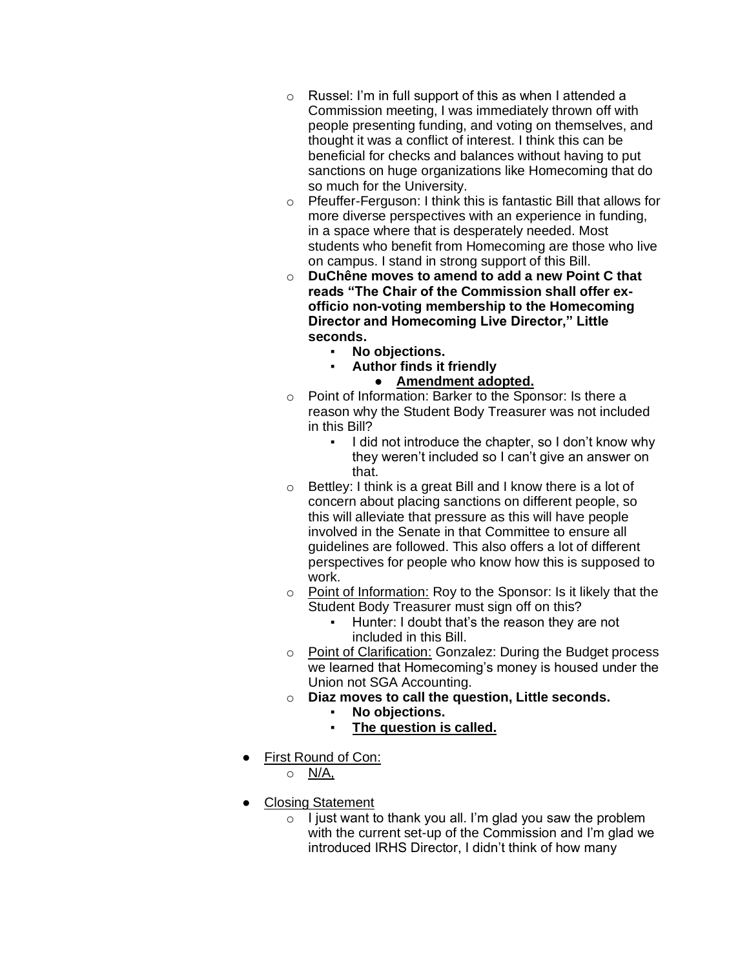- o Russel: I'm in full support of this as when I attended a Commission meeting, I was immediately thrown off with people presenting funding, and voting on themselves, and thought it was a conflict of interest. I think this can be beneficial for checks and balances without having to put sanctions on huge organizations like Homecoming that do so much for the University.
- o Pfeuffer-Ferguson: I think this is fantastic Bill that allows for more diverse perspectives with an experience in funding, in a space where that is desperately needed. Most students who benefit from Homecoming are those who live on campus. I stand in strong support of this Bill.
- o **DuChêne moves to amend to add a new Point C that reads "The Chair of the Commission shall offer exofficio non-voting membership to the Homecoming Director and Homecoming Live Director," Little seconds.**
	- **No objections.**
	- **Author finds it friendly** 
		- **Amendment adopted.**
- o Point of Information: Barker to the Sponsor: Is there a reason why the Student Body Treasurer was not included in this Bill?
	- I did not introduce the chapter, so I don't know why they weren't included so I can't give an answer on that.
- $\circ$  Bettley: I think is a great Bill and I know there is a lot of concern about placing sanctions on different people, so this will alleviate that pressure as this will have people involved in the Senate in that Committee to ensure all guidelines are followed. This also offers a lot of different perspectives for people who know how this is supposed to work.
- o Point of Information: Roy to the Sponsor: Is it likely that the Student Body Treasurer must sign off on this?
	- Hunter: I doubt that's the reason they are not included in this Bill.
- o Point of Clarification: Gonzalez: During the Budget process we learned that Homecoming's money is housed under the Union not SGA Accounting.
- o **Diaz moves to call the question, Little seconds.**
	- No objections.
	- **The question is called.**
- First Round of Con:
	- $\circ$  N/A,
- Closing Statement
	- $\circ$  I just want to thank you all. I'm glad you saw the problem with the current set-up of the Commission and I'm glad we introduced IRHS Director, I didn't think of how many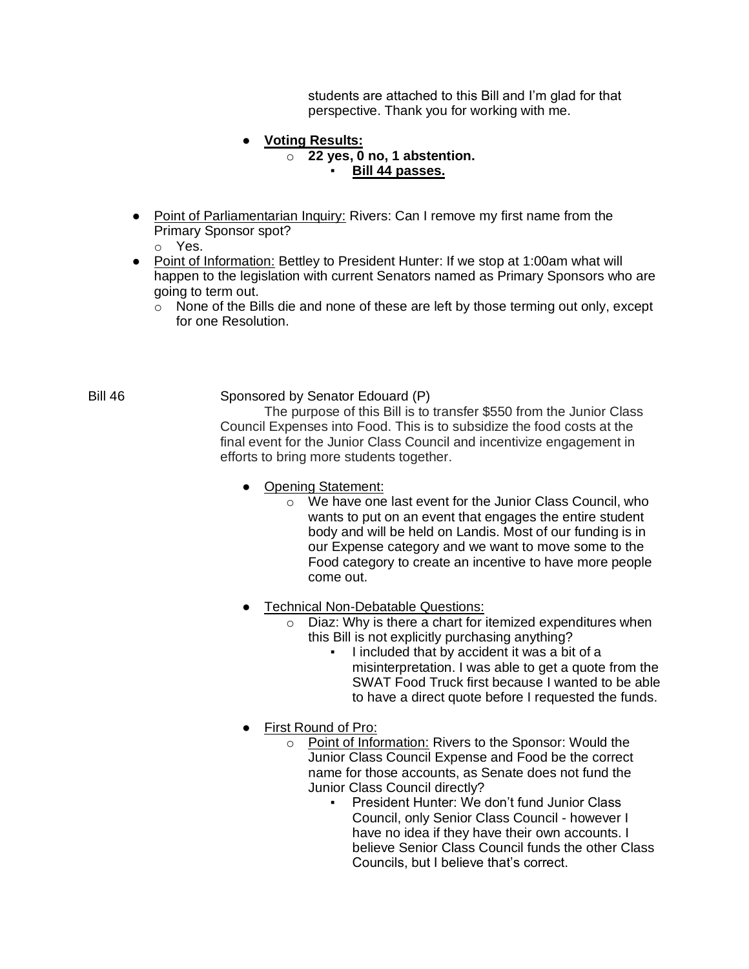students are attached to this Bill and I'm glad for that perspective. Thank you for working with me.

### ● **Voting Results:**

o **22 yes, 0 no, 1 abstention.**

#### ▪ **Bill 44 passes.**

- Point of Parliamentarian Inquiry: Rivers: Can I remove my first name from the Primary Sponsor spot?
	- o Yes.
- Point of Information: Bettley to President Hunter: If we stop at 1:00am what will happen to the legislation with current Senators named as Primary Sponsors who are going to term out.
	- o None of the Bills die and none of these are left by those terming out only, except for one Resolution.

### Bill 46 Sponsored by Senator Edouard (P)

The purpose of this Bill is to transfer \$550 from the Junior Class Council Expenses into Food. This is to subsidize the food costs at the final event for the Junior Class Council and incentivize engagement in efforts to bring more students together.

- Opening Statement:
	- o We have one last event for the Junior Class Council, who wants to put on an event that engages the entire student body and will be held on Landis. Most of our funding is in our Expense category and we want to move some to the Food category to create an incentive to have more people come out.
- Technical Non-Debatable Questions:
	- o Diaz: Why is there a chart for itemized expenditures when this Bill is not explicitly purchasing anything?
		- I included that by accident it was a bit of a misinterpretation. I was able to get a quote from the SWAT Food Truck first because I wanted to be able to have a direct quote before I requested the funds.
- First Round of Pro:
	- o Point of Information: Rivers to the Sponsor: Would the Junior Class Council Expense and Food be the correct name for those accounts, as Senate does not fund the Junior Class Council directly?
		- President Hunter: We don't fund Junior Class Council, only Senior Class Council - however I have no idea if they have their own accounts. I believe Senior Class Council funds the other Class Councils, but I believe that's correct.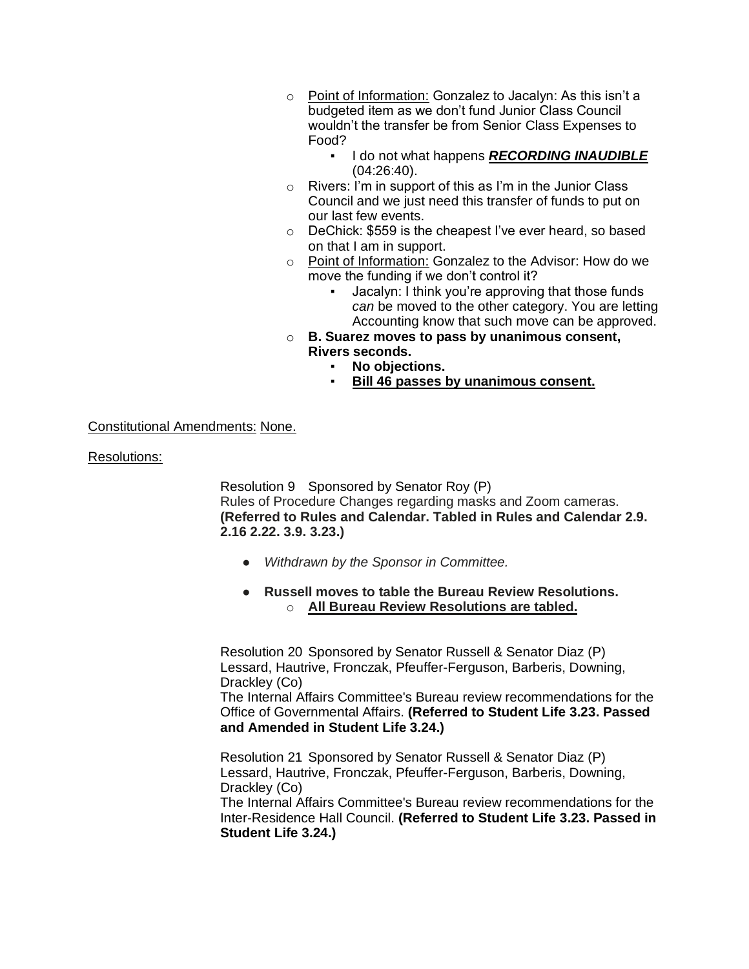- o Point of Information: Gonzalez to Jacalyn: As this isn't a budgeted item as we don't fund Junior Class Council wouldn't the transfer be from Senior Class Expenses to Food?
	- I do not what happens *RECORDING INAUDIBLE*  (04:26:40).
- o Rivers: I'm in support of this as I'm in the Junior Class Council and we just need this transfer of funds to put on our last few events.
- o DeChick: \$559 is the cheapest I've ever heard, so based on that I am in support.
- o Point of Information: Gonzalez to the Advisor: How do we move the funding if we don't control it?
	- Jacalyn: I think you're approving that those funds *can* be moved to the other category. You are letting Accounting know that such move can be approved.
- o **B. Suarez moves to pass by unanimous consent, Rivers seconds.**
	- **No objections.**
	- **Bill 46 passes by unanimous consent.**

### Constitutional Amendments: None.

Resolutions:

Resolution 9 Sponsored by Senator Roy (P) Rules of Procedure Changes regarding masks and Zoom cameras. **(Referred to Rules and Calendar. Tabled in Rules and Calendar 2.9. 2.16 2.22. 3.9. 3.23.)**

- *Withdrawn by the Sponsor in Committee.*
- **Russell moves to table the Bureau Review Resolutions.** o **All Bureau Review Resolutions are tabled.**

Resolution 20 Sponsored by Senator Russell & Senator Diaz (P) Lessard, Hautrive, Fronczak, Pfeuffer-Ferguson, Barberis, Downing, Drackley (Co)

The Internal Affairs Committee's Bureau review recommendations for the Office of Governmental Affairs. **(Referred to Student Life 3.23. Passed and Amended in Student Life 3.24.)**

Resolution 21 Sponsored by Senator Russell & Senator Diaz (P) Lessard, Hautrive, Fronczak, Pfeuffer-Ferguson, Barberis, Downing, Drackley (Co)

The Internal Affairs Committee's Bureau review recommendations for the Inter-Residence Hall Council. **(Referred to Student Life 3.23. Passed in Student Life 3.24.)**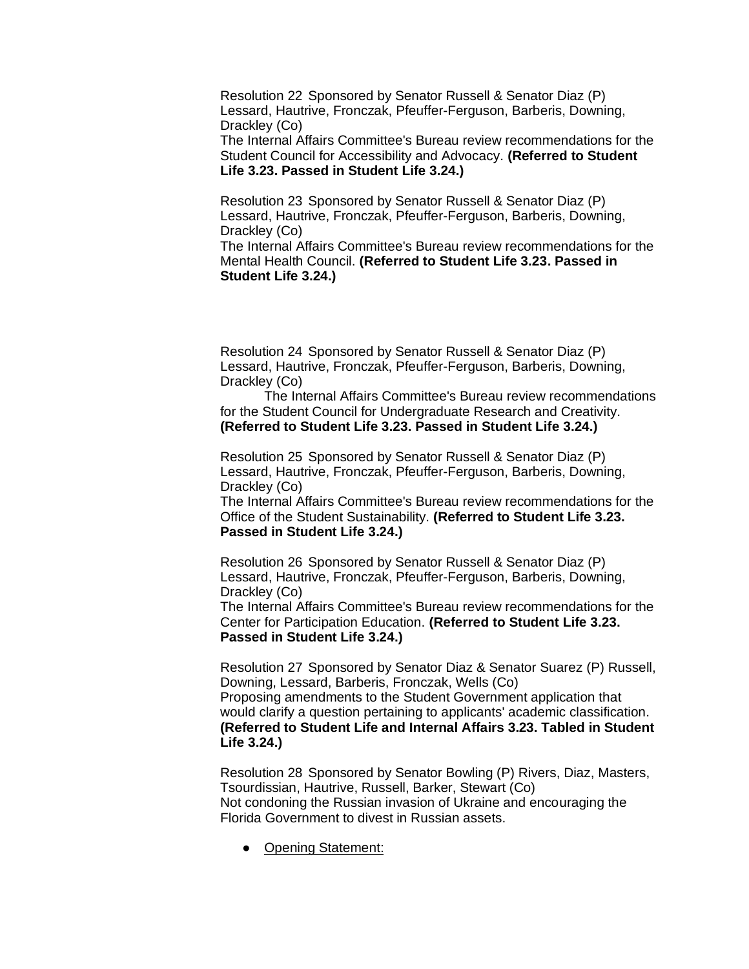Resolution 22 Sponsored by Senator Russell & Senator Diaz (P) Lessard, Hautrive, Fronczak, Pfeuffer-Ferguson, Barberis, Downing, Drackley (Co)

The Internal Affairs Committee's Bureau review recommendations for the Student Council for Accessibility and Advocacy. **(Referred to Student Life 3.23. Passed in Student Life 3.24.)**

Resolution 23 Sponsored by Senator Russell & Senator Diaz (P) Lessard, Hautrive, Fronczak, Pfeuffer-Ferguson, Barberis, Downing, Drackley (Co)

The Internal Affairs Committee's Bureau review recommendations for the Mental Health Council. **(Referred to Student Life 3.23. Passed in Student Life 3.24.)**

Resolution 24 Sponsored by Senator Russell & Senator Diaz (P) Lessard, Hautrive, Fronczak, Pfeuffer-Ferguson, Barberis, Downing, Drackley (Co)

 The Internal Affairs Committee's Bureau review recommendations for the Student Council for Undergraduate Research and Creativity. **(Referred to Student Life 3.23. Passed in Student Life 3.24.)**

Resolution 25 Sponsored by Senator Russell & Senator Diaz (P) Lessard, Hautrive, Fronczak, Pfeuffer-Ferguson, Barberis, Downing, Drackley (Co)

The Internal Affairs Committee's Bureau review recommendations for the Office of the Student Sustainability. **(Referred to Student Life 3.23. Passed in Student Life 3.24.)**

Resolution 26 Sponsored by Senator Russell & Senator Diaz (P) Lessard, Hautrive, Fronczak, Pfeuffer-Ferguson, Barberis, Downing, Drackley (Co)

The Internal Affairs Committee's Bureau review recommendations for the Center for Participation Education. **(Referred to Student Life 3.23. Passed in Student Life 3.24.)**

Resolution 27 Sponsored by Senator Diaz & Senator Suarez (P) Russell, Downing, Lessard, Barberis, Fronczak, Wells (Co) Proposing amendments to the Student Government application that would clarify a question pertaining to applicants' academic classification. **(Referred to Student Life and Internal Affairs 3.23. Tabled in Student Life 3.24.)**

Resolution 28 Sponsored by Senator Bowling (P) Rivers, Diaz, Masters, Tsourdissian, Hautrive, Russell, Barker, Stewart (Co) Not condoning the Russian invasion of Ukraine and encouraging the Florida Government to divest in Russian assets.

● Opening Statement: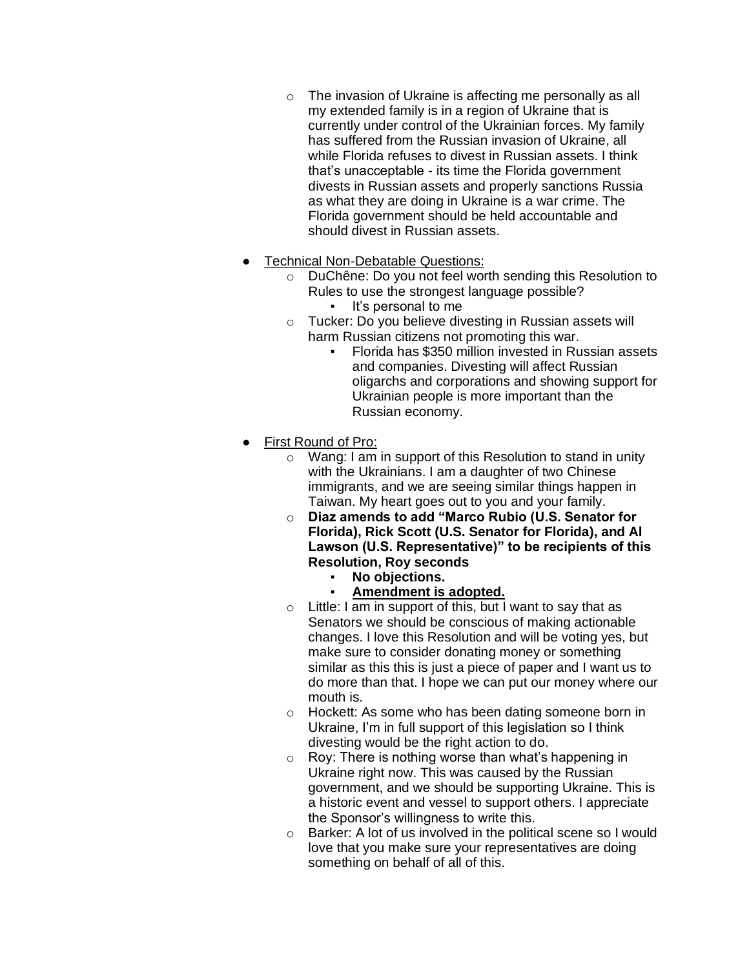- o The invasion of Ukraine is affecting me personally as all my extended family is in a region of Ukraine that is currently under control of the Ukrainian forces. My family has suffered from the Russian invasion of Ukraine, all while Florida refuses to divest in Russian assets. I think that's unacceptable - its time the Florida government divests in Russian assets and properly sanctions Russia as what they are doing in Ukraine is a war crime. The Florida government should be held accountable and should divest in Russian assets.
- **Technical Non-Debatable Questions:** 
	- o DuChêne: Do you not feel worth sending this Resolution to Rules to use the strongest language possible?
		- It's personal to me
	- o Tucker: Do you believe divesting in Russian assets will harm Russian citizens not promoting this war.
		- Florida has \$350 million invested in Russian assets and companies. Divesting will affect Russian oligarchs and corporations and showing support for Ukrainian people is more important than the Russian economy.
- First Round of Pro:
	- o Wang: I am in support of this Resolution to stand in unity with the Ukrainians. I am a daughter of two Chinese immigrants, and we are seeing similar things happen in Taiwan. My heart goes out to you and your family.
	- o **Diaz amends to add "Marco Rubio (U.S. Senator for Florida), Rick Scott (U.S. Senator for Florida), and Al Lawson (U.S. Representative)" to be recipients of this Resolution, Roy seconds**
		- No objections.
			- **Amendment is adopted.**
	- $\circ$  Little: I am in support of this, but I want to say that as Senators we should be conscious of making actionable changes. I love this Resolution and will be voting yes, but make sure to consider donating money or something similar as this this is just a piece of paper and I want us to do more than that. I hope we can put our money where our mouth is.
	- o Hockett: As some who has been dating someone born in Ukraine, I'm in full support of this legislation so I think divesting would be the right action to do.
	- $\circ$  Roy: There is nothing worse than what's happening in Ukraine right now. This was caused by the Russian government, and we should be supporting Ukraine. This is a historic event and vessel to support others. I appreciate the Sponsor's willingness to write this.
	- o Barker: A lot of us involved in the political scene so I would love that you make sure your representatives are doing something on behalf of all of this.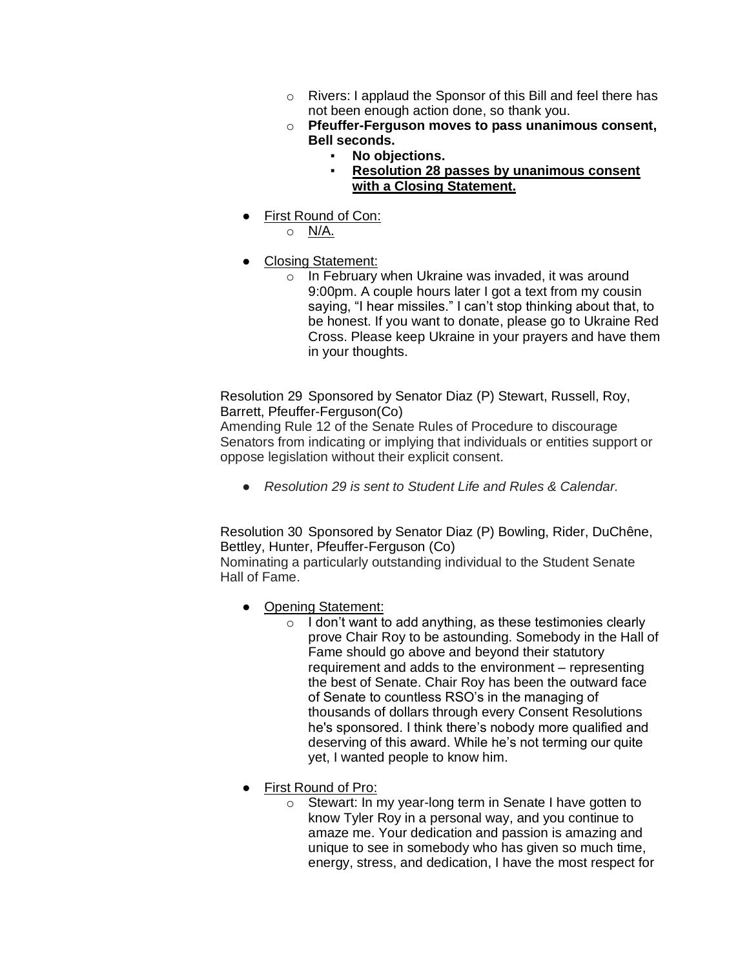- o Rivers: I applaud the Sponsor of this Bill and feel there has not been enough action done, so thank you.
- o **Pfeuffer-Ferguson moves to pass unanimous consent, Bell seconds.**
	- No objections.
		- **Resolution 28 passes by unanimous consent with a Closing Statement.**
- First Round of Con:
	- o N/A.
- Closing Statement:
	- o In February when Ukraine was invaded, it was around 9:00pm. A couple hours later I got a text from my cousin saying, "I hear missiles." I can't stop thinking about that, to be honest. If you want to donate, please go to Ukraine Red Cross. Please keep Ukraine in your prayers and have them in your thoughts.

Resolution 29 Sponsored by Senator Diaz (P) Stewart, Russell, Roy, Barrett, Pfeuffer-Ferguson(Co)

Amending Rule 12 of the Senate Rules of Procedure to discourage Senators from indicating or implying that individuals or entities support or oppose legislation without their explicit consent.

● *Resolution 29 is sent to Student Life and Rules & Calendar.*

Resolution 30 Sponsored by Senator Diaz (P) Bowling, Rider, DuChêne, Bettley, Hunter, Pfeuffer-Ferguson (Co)

Nominating a particularly outstanding individual to the Student Senate Hall of Fame.

- Opening Statement:
	- $\circ$  I don't want to add anything, as these testimonies clearly prove Chair Roy to be astounding. Somebody in the Hall of Fame should go above and beyond their statutory requirement and adds to the environment – representing the best of Senate. Chair Roy has been the outward face of Senate to countless RSO's in the managing of thousands of dollars through every Consent Resolutions he's sponsored. I think there's nobody more qualified and deserving of this award. While he's not terming our quite yet, I wanted people to know him.
- First Round of Pro:
	- o Stewart: In my year-long term in Senate I have gotten to know Tyler Roy in a personal way, and you continue to amaze me. Your dedication and passion is amazing and unique to see in somebody who has given so much time, energy, stress, and dedication, I have the most respect for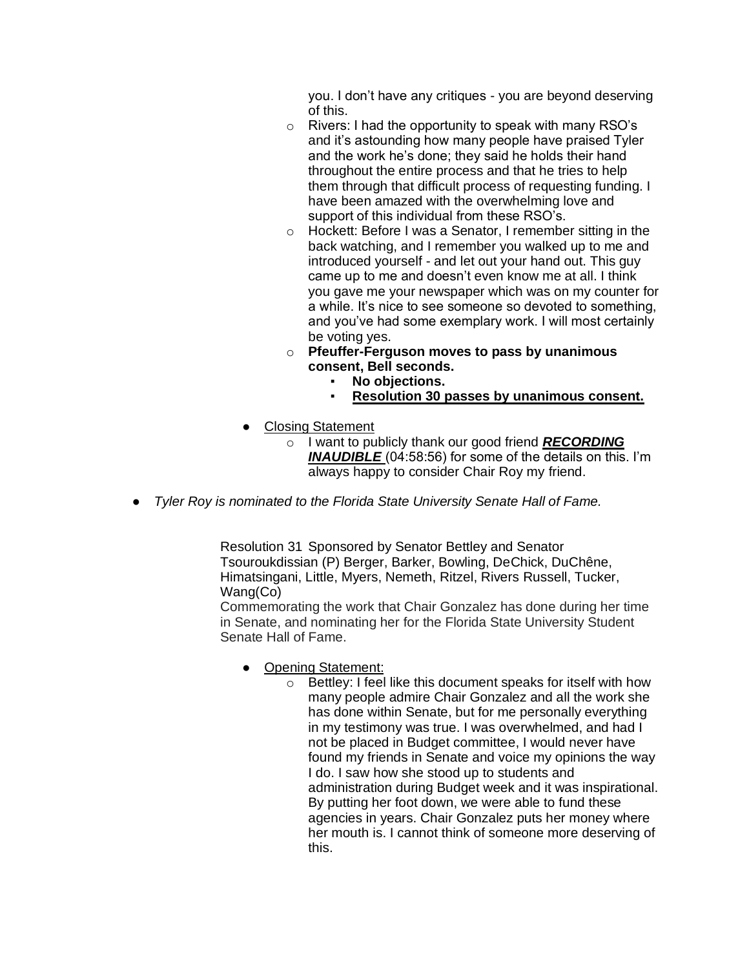you. I don't have any critiques - you are beyond deserving of this.

- o Rivers: I had the opportunity to speak with many RSO's and it's astounding how many people have praised Tyler and the work he's done; they said he holds their hand throughout the entire process and that he tries to help them through that difficult process of requesting funding. I have been amazed with the overwhelming love and support of this individual from these RSO's.
- o Hockett: Before I was a Senator, I remember sitting in the back watching, and I remember you walked up to me and introduced yourself - and let out your hand out. This guy came up to me and doesn't even know me at all. I think you gave me your newspaper which was on my counter for a while. It's nice to see someone so devoted to something, and you've had some exemplary work. I will most certainly be voting yes.
- o **Pfeuffer-Ferguson moves to pass by unanimous consent, Bell seconds.**
	- No objections.
	- **Resolution 30 passes by unanimous consent.**
- Closing Statement
	- o I want to publicly thank our good friend *RECORDING INAUDIBLE* (04:58:56) for some of the details on this. I'm always happy to consider Chair Roy my friend.
- *Tyler Roy is nominated to the Florida State University Senate Hall of Fame.*

Resolution 31 Sponsored by Senator Bettley and Senator Tsouroukdissian (P) Berger, Barker, Bowling, DeChick, DuChêne, Himatsingani, Little, Myers, Nemeth, Ritzel, Rivers Russell, Tucker, Wang(Co)

Commemorating the work that Chair Gonzalez has done during her time in Senate, and nominating her for the Florida State University Student Senate Hall of Fame.

- Opening Statement:
	- o Bettley: I feel like this document speaks for itself with how many people admire Chair Gonzalez and all the work she has done within Senate, but for me personally everything in my testimony was true. I was overwhelmed, and had I not be placed in Budget committee, I would never have found my friends in Senate and voice my opinions the way I do. I saw how she stood up to students and administration during Budget week and it was inspirational. By putting her foot down, we were able to fund these agencies in years. Chair Gonzalez puts her money where her mouth is. I cannot think of someone more deserving of this.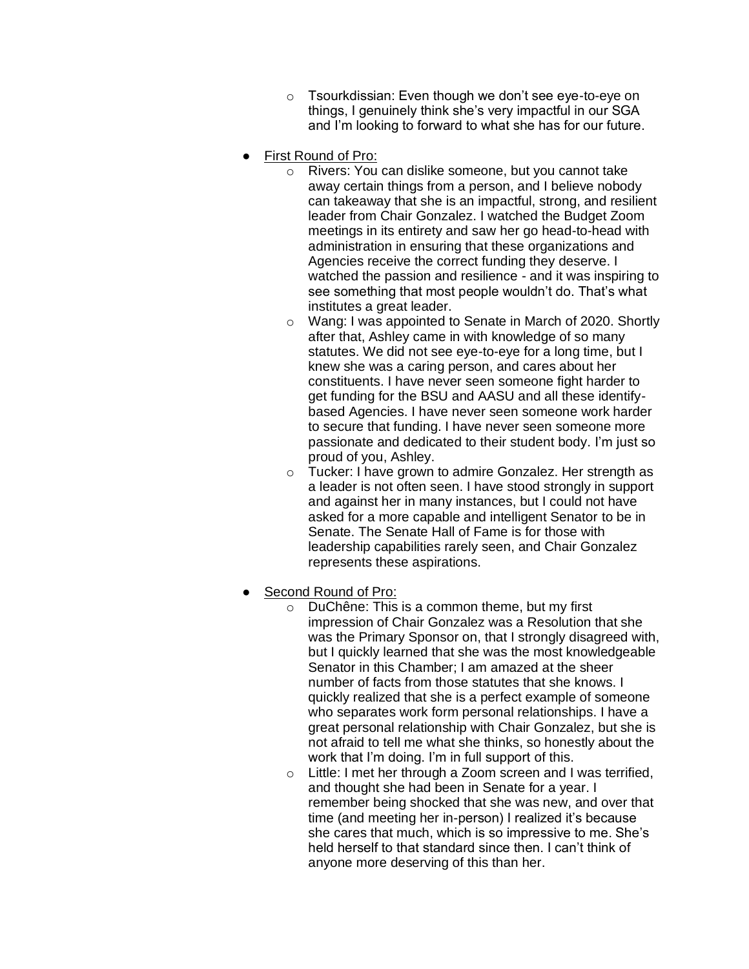- o Tsourkdissian: Even though we don't see eye-to-eye on things, I genuinely think she's very impactful in our SGA and I'm looking to forward to what she has for our future.
- **First Round of Pro:** 
	- o Rivers: You can dislike someone, but you cannot take away certain things from a person, and I believe nobody can takeaway that she is an impactful, strong, and resilient leader from Chair Gonzalez. I watched the Budget Zoom meetings in its entirety and saw her go head-to-head with administration in ensuring that these organizations and Agencies receive the correct funding they deserve. I watched the passion and resilience - and it was inspiring to see something that most people wouldn't do. That's what institutes a great leader.
	- o Wang: I was appointed to Senate in March of 2020. Shortly after that, Ashley came in with knowledge of so many statutes. We did not see eye-to-eye for a long time, but I knew she was a caring person, and cares about her constituents. I have never seen someone fight harder to get funding for the BSU and AASU and all these identifybased Agencies. I have never seen someone work harder to secure that funding. I have never seen someone more passionate and dedicated to their student body. I'm just so proud of you, Ashley.
	- o Tucker: I have grown to admire Gonzalez. Her strength as a leader is not often seen. I have stood strongly in support and against her in many instances, but I could not have asked for a more capable and intelligent Senator to be in Senate. The Senate Hall of Fame is for those with leadership capabilities rarely seen, and Chair Gonzalez represents these aspirations.
- Second Round of Pro:
	- o DuChêne: This is a common theme, but my first impression of Chair Gonzalez was a Resolution that she was the Primary Sponsor on, that I strongly disagreed with, but I quickly learned that she was the most knowledgeable Senator in this Chamber; I am amazed at the sheer number of facts from those statutes that she knows. I quickly realized that she is a perfect example of someone who separates work form personal relationships. I have a great personal relationship with Chair Gonzalez, but she is not afraid to tell me what she thinks, so honestly about the work that I'm doing. I'm in full support of this.
	- o Little: I met her through a Zoom screen and I was terrified, and thought she had been in Senate for a year. I remember being shocked that she was new, and over that time (and meeting her in-person) I realized it's because she cares that much, which is so impressive to me. She's held herself to that standard since then. I can't think of anyone more deserving of this than her.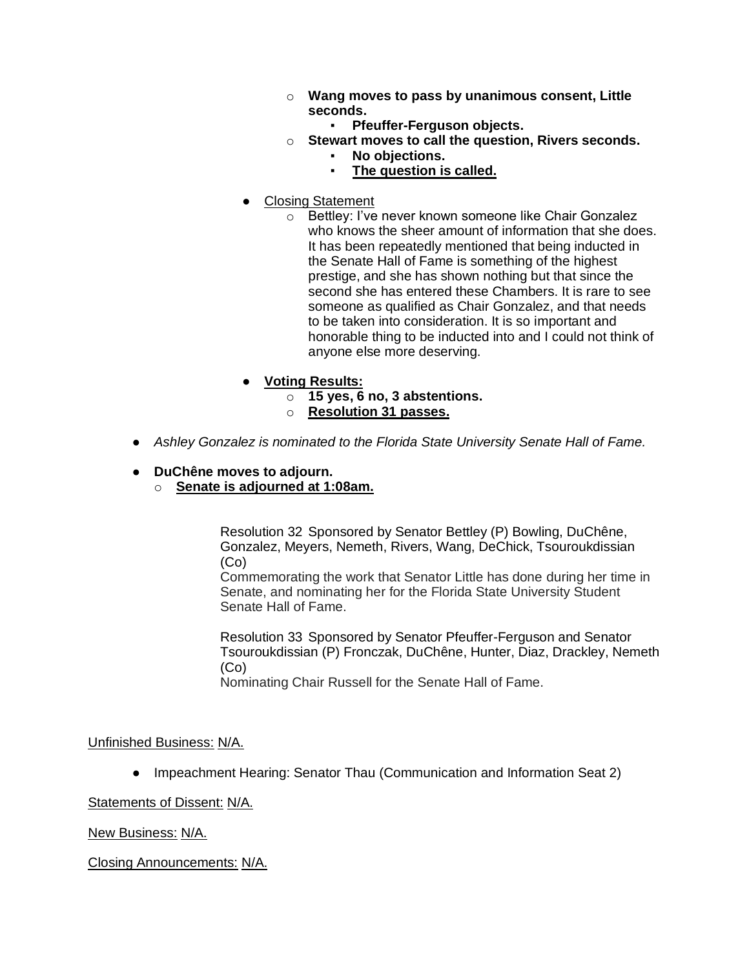- o **Wang moves to pass by unanimous consent, Little seconds.**
	- **Pfeuffer-Ferguson objects.**
- o **Stewart moves to call the question, Rivers seconds.**
	- **No objections. The question is called.**
- Closing Statement
	- o Bettley: I've never known someone like Chair Gonzalez who knows the sheer amount of information that she does. It has been repeatedly mentioned that being inducted in the Senate Hall of Fame is something of the highest prestige, and she has shown nothing but that since the second she has entered these Chambers. It is rare to see someone as qualified as Chair Gonzalez, and that needs to be taken into consideration. It is so important and honorable thing to be inducted into and I could not think of anyone else more deserving.
- **Voting Results:**
	- o **15 yes, 6 no, 3 abstentions.**
		- o **Resolution 31 passes.**
- *Ashley Gonzalez is nominated to the Florida State University Senate Hall of Fame.*
- **DuChêne moves to adjourn.**
	- o **Senate is adjourned at 1:08am.**

Resolution 32 Sponsored by Senator Bettley (P) Bowling, DuChêne, Gonzalez, Meyers, Nemeth, Rivers, Wang, DeChick, Tsouroukdissian (Co)

Commemorating the work that Senator Little has done during her time in Senate, and nominating her for the Florida State University Student Senate Hall of Fame.

Resolution 33 Sponsored by Senator Pfeuffer-Ferguson and Senator Tsouroukdissian (P) Fronczak, DuChêne, Hunter, Diaz, Drackley, Nemeth (Co)

Nominating Chair Russell for the Senate Hall of Fame.

Unfinished Business: N/A.

• Impeachment Hearing: Senator Thau (Communication and Information Seat 2)

Statements of Dissent: N/A.

New Business: N/A.

Closing Announcements: N/A.